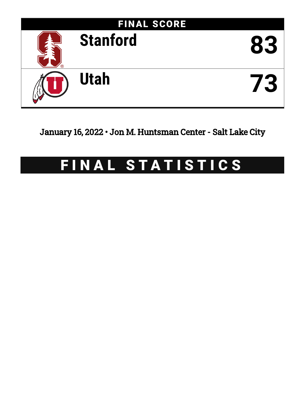

January 16, 2022 • Jon M. Huntsman Center - Salt Lake City

# FINAL STATISTICS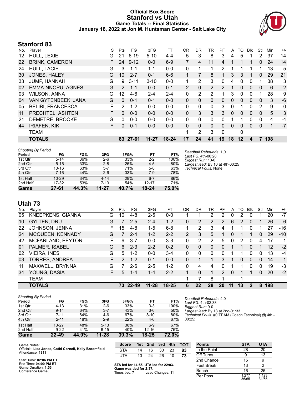### **Official Box Score Stanford vs Utah Game Totals -- Final Statistics January 16, 2022 at Jon M. Huntsman Center - Salt Lake City**



## **Stanford 83**

| No. | Player                   | S | Pts           | FG       | 3FG       | FТ        | <b>OR</b>    | DR. | TR           | PF            | A        | TO      | <b>B</b> lk  | Stl | Min          | $+/-$ |
|-----|--------------------------|---|---------------|----------|-----------|-----------|--------------|-----|--------------|---------------|----------|---------|--------------|-----|--------------|-------|
| 12  | HULL, LEXIE              | G | 21            | $6 - 19$ | $5 - 10$  | $4 - 4$   | 5            | 3   | 8            | 3             | 4        | 5       |              | 2   | 37           | 14    |
| 22  | <b>BRINK, CAMERON</b>    | F | 24            | $9 - 12$ | $0 - 0$   | $6-9$     |              | 4   | 11           | 4             | 1        |         |              | 0   | 24           | 14    |
| 24  | <b>HULL, LACIE</b>       | G | 3             | 1-1      | $1 - 1$   | $0-0$     | $\mathbf{0}$ |     | 1            | 2             | 1        |         |              |     | 13           | 5     |
| 30  | <b>JONES, HALEY</b>      | G | 10            | $2 - 7$  | $0 - 1$   | $6-6$     |              |     | 8            |               | 3        | 3       |              | 0   | 29           | 21    |
| 33  | <b>JUMP, HANNAH</b>      | G | 9             | $3 - 11$ | $3 - 10$  | $0-0$     | 1            | 2   | 3            | 0             | 4        | 0       | 0            |     | 38           | 3     |
| 02  | EMMA-NNOPU, AGNES        | G | $\mathcal{P}$ | $1 - 1$  | $0 - 0$   | $0 - 1$   | 2            | 0   | 2            | $\mathcal{P}$ | 1        | 0       | $\mathbf{0}$ | 0   | 6            | $-2$  |
| 03  | <b>WILSON, ANNA</b>      | G | 12            | $4-6$    | $2 - 4$   | $2 - 4$   | $\mathbf{0}$ | 2   | 2            |               | 3        | 0       | 0            |     | 28           | 9     |
| 04  | VAN GYTENBEEK, JANA      | G | $\Omega$      | $0 - 1$  | $0 - 1$   | $0 - 0$   | 0            | 0   | 0            | $\Omega$      | $\Omega$ | 0       | $\mathbf{0}$ | 0   | 3            | -6    |
| 05  | <b>BELIBI, FRANCESCA</b> | F | 2             | $1 - 2$  | $0 - 0$   | $0 - 0$   | $\Omega$     | 0   | $\mathbf{0}$ | 3             | 0        |         | 0            | 2   | 9            | 0     |
| 11  | PRECHTEL, ASHTEN         | F | 0             | $0 - 0$  | $0 - 0$   | $0 - 0$   | 0            | 3   | 3            | 3             | 0        | 0       | $\mathbf{0}$ | 0   | 5            | 3     |
| 21  | DEMETRE, BROOKE          | G | 0             | $0 - 0$  | $0 - 0$   | $0 - 0$   | $\Omega$     | 0   | 0            | 0             | 1        |         | 0            | 0   | 4            | $-4$  |
| 44  | <b>IRIAFEN, KIKI</b>     | F | 0             | $0 - 1$  | $0 - 0$   | $0 - 0$   | 0            | 0   | 0            | $\Omega$      | 0        | 0       | $\mathbf{0}$ | 0   | $\mathbf{1}$ | $-7$  |
|     | <b>TEAM</b>              |   |               |          |           |           | 1            | 2   | 3            | $\Omega$      |          | 0       |              |     |              |       |
|     | <b>TOTALS</b>            |   |               | 83 27-61 | $11 - 27$ | $18 - 24$ | 17           | 24  | 41           | 19            | 18       | $12 \,$ | 4            |     | 198          |       |

| <b>Shooting By Period</b> |           |       |           |       |           |       | Deadball Rebounds: 1,0           |
|---------------------------|-----------|-------|-----------|-------|-----------|-------|----------------------------------|
| Period                    | FG        | FG%   | 3FG       | 3FG%  | FТ        | FT%   | Last FG: 4th-00:28               |
| 1st Qtr                   | $5 - 14$  | 36%   | $2-6$     | 33%   | $2 - 2$   | 100%  | Biggest Run: 10-0                |
| 2nd Qtr                   | $5 - 15$  | 33%   | $2 - 8$   | 25%   | $4 - 5$   | 80%   | Largest lead: By 10 at 4th-00:25 |
| 3rd Qtr                   | $10 - 16$ | 63%   | $5 - 7$   | 71%   | $5-8$     | 63%   | Technical Fouls: None.           |
| 4th Qtr                   | $7 - 16$  | 44%   | $2 - 6$   | 33%   | 7-9       | 78%   |                                  |
| 1st Half                  | $10 - 29$ | 34%   | $4 - 14$  | 29%   | $6 - 7$   | 86%   |                                  |
| 2nd Half                  | 17-32     | 53%   | $7 - 13$  | 54%   | $12 - 17$ | 71%   |                                  |
| <b>Game</b>               | $27 - 61$ | 44.3% | $11 - 27$ | 40.7% | $18 - 24$ | 75.0% |                                  |

**Utah 73**

| No. | Player                | S | Pts           | FG      | 3FG       | FТ        | 0 <sub>R</sub> | DR       | TR       | PF            | A        | TO | Blk      | Stl      | Min | $+/-$ |
|-----|-----------------------|---|---------------|---------|-----------|-----------|----------------|----------|----------|---------------|----------|----|----------|----------|-----|-------|
| 05  | KNEEPKENS, GIANNA     | G | 10            | 4-8     | $2 - 5$   | $0 - 0$   |                |          | 2        | 2             | 0        | 2  | 0        |          | 20  | $-7$  |
| 10  | <b>GYLTEN, DRU</b>    | G |               | $2 - 5$ | $2 - 4$   | $1 - 2$   | 0              | 2        | 2        | 2             | 6        | 2  | 0        |          | 26  | -6    |
| 22  | JOHNSON, JENNA        | F | 15            | $4 - 8$ | 1-5       | $6 - 8$   | 1              | 2        | 3        | 4             |          |    | 0        |          | 27  | $-16$ |
| 24  | MCQUEEN, KENNADY      | G |               | $2 - 4$ | $1 - 2$   | $2 - 2$   | $\overline{2}$ | 3        | 5        |               | 0        |    |          | 0        | 29  | $-10$ |
| 42  | MCFARLAND, PEYTON     | F | 9             | $3 - 7$ | $0 - 0$   | $3 - 3$   | 0              | 2        | 2        | 5             | 0        | 2  | $\Omega$ | 4        | 17  | $-1$  |
| 01  | PALMER, ISABEL        | G | 6             | $2 - 3$ | $2 - 2$   | $0 - 2$   | 0              | 0        | $\Omega$ | 0             | 1        |    | $\Omega$ |          | 12  | $-2$  |
| 02  | <b>VIEIRA, INES</b>   | G | 5.            | $1 - 2$ | $0 - 0$   | $3-4$     | 0              | 0        | $\Omega$ | <sup>0</sup>  |          |    | 0        | 0        | 13  | $-4$  |
| 03  | <b>TORRES, ANDREA</b> | F | $\mathcal{P}$ | $1 - 2$ | $0 - 1$   | $0 - 0$   | 0              |          |          | 3             | 1        | 0  | $\Omega$ | $\Omega$ | 14  | 1     |
| 11  | MAXWELL, BRYNNA       | G |               | 2-6     | $2 - 5$   | $1 - 2$   | 0              | 4        | 4        | U             |          |    | 0        | 0        | 19  | $-3$  |
| 34  | YOUNG, DASIA          | F | 5             | $1 - 4$ | $1 - 4$   | $2 - 2$   |                | $\Omega$ | 1        | $\mathcal{P}$ | $\Omega$ |    |          | $\Omega$ | 20  | $-2$  |
|     | <b>TEAM</b>           |   |               |         |           |           | 1              |          | 8        |               |          | ◢  |          |          |     |       |
|     | <b>TOTALS</b>         |   | 73.           | 22-49   | $11 - 28$ | $18 - 25$ | 6              | 22       | 28       | 20            | 11       | 13 | 2        | 8        | 198 |       |

| <b>Shooting By Period</b> |           |       |           |       |           |       |
|---------------------------|-----------|-------|-----------|-------|-----------|-------|
| Period                    | FG        | FG%   | 3FG       | 3FG%  | FT        | FT%   |
| 1st Qtr                   | $4 - 13$  | 31%   | $2-6$     | 33%   | $3 - 3$   | 100%  |
| 2nd Qtr                   | $9 - 14$  | 64%   | $3 - 7$   | 43%   | $3-6$     | 50%   |
| 3rd Qtr                   | $7 - 11$  | 64%   | $4-6$     | 67%   | $8 - 10$  | 80%   |
| 4th Qtr                   | $2 - 11$  | 18%   | $2 - 9$   | 22%   | $4-6$     | 67%   |
| 1st Half                  | $13 - 27$ | 48%   | $5-13$    | 38%   | $6-9$     | 67%   |
| 2nd Half                  | $9-22$    | 41%   | $6 - 15$  | 40%   | $12 - 16$ | 75%   |
| Game                      | $22 - 49$ | 44.9% | $11 - 28$ | 39.3% | $18 - 25$ | 72.0% |

*Deadball Rebounds:* 4,0 *Last FG:* 4th-02:38 *Biggest Run:* 9-0 *Largest lead:* By 13 at 2nd-01:33 *Technical Fouls:* #0 TEAM (Coach Technical) @ 4th - 00:25;

| Game Notes:                                                                | <b>Score</b>                             |    | 1st 2nd | 3rd | 4th | <b>TOT</b> | <b>Points</b>  | <b>STA</b>     | <b>UTA</b> |
|----------------------------------------------------------------------------|------------------------------------------|----|---------|-----|-----|------------|----------------|----------------|------------|
| Officials: Lisa Jones, Cathi Cornell, Kelly Broomfield<br>Attendance: 1911 | STA                                      | 14 | 16      | 30  | 23  | 83         | In the Paint   | 28             | 20         |
|                                                                            | UTA                                      | 13 | 24      | 26  | 10  | 73         | Off Turns      |                | 13         |
| Start Time: 02:06 PM ET                                                    |                                          |    |         |     |     |            | 2nd Chance     | 15             |            |
| End Time: 04:00 PM ET<br>Game Duration: 1:53                               | STA led for 14:55. UTA led for 22:03.    |    |         |     |     |            | Fast Break     |                |            |
| Conference Game:                                                           | Game was tied for 2:37.<br>Times tied: 7 |    |         |     |     |            | Bench          | 16             | 25         |
|                                                                            | Lead Changes: 11                         |    |         |     |     | Per Poss   | 1.277<br>36/65 | 1.123<br>31/65 |            |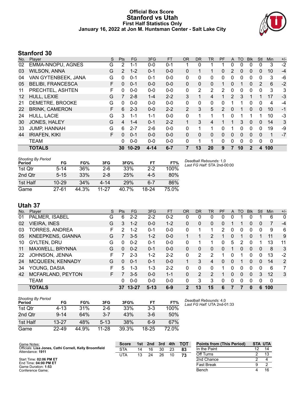### **Official Box Score Stanford vs Utah First Half Statistics Only January 16, 2022 at Jon M. Huntsman Center - Salt Lake City**



# **Stanford 30**

| No. | Player                   | S | <b>Pts</b> | <b>FG</b> | 3FG     | <b>FT</b> | <b>OR</b> | <b>DR</b>    | <b>TR</b>    | PF       | A | <b>TO</b>    | <b>B</b> lk  | Stl          | <b>Min</b> | $+/-$ |
|-----|--------------------------|---|------------|-----------|---------|-----------|-----------|--------------|--------------|----------|---|--------------|--------------|--------------|------------|-------|
| 02  | EMMA-NNOPU, AGNES        | G | 2          | 1-1       | $0 - 0$ | $0 - 1$   |           | 0            |              |          | 0 | 0            | 0            | 0            | 3          | $-2$  |
| 03  | <b>WILSON, ANNA</b>      | G | 2          | $1 - 2$   | $0 - 1$ | $0 - 0$   | 0         |              |              | $\Omega$ | 2 | $\mathbf{0}$ | $\mathbf{0}$ | 0            | 10         | $-4$  |
| 04  | VAN GYTENBEEK, JANA      | G | $\Omega$   | $0 - 1$   | $0 - 1$ | $0-0$     | 0         | 0            | 0            | 0        | 0 | $\Omega$     | 0            | 0            | 3          | -6    |
| 05  | <b>BELIBI, FRANCESCA</b> | F | $\Omega$   | $0 - 1$   | $0 - 0$ | $0 - 0$   | $\Omega$  | $\mathbf{0}$ | $\mathbf{0}$ |          | 0 | 1            | $\Omega$     | 2            | 6          | $-2$  |
| 11  | PRECHTEL, ASHTEN         | F | $\Omega$   | $0 - 0$   | $0 - 0$ | $0-0$     | 0         | 2            | 2            | 2        | 0 | 0            | $\Omega$     | 0            | 3          | 3     |
| 12  | HULL, LEXIE              | G | 7          | $2 - 8$   | $1 - 4$ | $2 - 2$   | 3         | 1            | 4            |          | 2 | 3            |              | 1            | 17         | $-3$  |
| 21  | DEMETRE, BROOKE          | G | 0          | $0 - 0$   | $0 - 0$ | $0 - 0$   | 0         | 0            | 0            | 0        | 1 |              | 0            | 0            | 4          | $-4$  |
| 22  | <b>BRINK, CAMERON</b>    | F | 6          | $2 - 3$   | $0 - 0$ | $2 - 2$   | 2         | 3            | 5            | 2        | 0 | 1            | $\Omega$     | $\mathbf{0}$ | 10         | $-1$  |
| 24  | HULL, LACIE              | G | 3          | 1-1       | $1 - 1$ | $0 - 0$   | 0         | 1            | 1            | 1        | 0 | 1            |              | 1            | 10         | $-3$  |
| 30  | JONES, HALEY             | G | 4          | $1 - 4$   | $0 - 1$ | $2 - 2$   | 1         | 3            | 4            |          |   | 3            | $\Omega$     | $\mathbf{0}$ | 14         | 3     |
| 33  | <b>JUMP, HANNAH</b>      | G | 6          | $2 - 7$   | $2-6$   | $0-0$     | 0         | 1            | 1            | 0        |   | 0            | 0            | $\Omega$     | 19         | -9    |
| 44  | <b>IRIAFEN, KIKI</b>     | F | $\Omega$   | $0 - 1$   | $0 - 0$ | $0 - 0$   | 0         | $\Omega$     | $\mathbf{0}$ | $\Omega$ | 0 | 0            | $\Omega$     | 0            | 1          | $-7$  |
|     | TEAM                     |   | 0          | $0 - 0$   | $0 - 0$ | $0 - 0$   | 0         | 1            | 1            | 0        | 0 | 0            | 0            | 0            | 0          |       |
|     | <b>TOTALS</b>            |   | 30         | $10 - 29$ | 4-14    | $6 - 7$   | 7         | 13           | 20           | 9        | 7 | 10           | 2            | 4            | 100        |       |

| <b>Shooting By Period</b><br>Period | FG        | FG%   | 3FG     | 3FG%  | FT      | FT%  |
|-------------------------------------|-----------|-------|---------|-------|---------|------|
| 1st Otr                             | $5 - 14$  | 36%   | $2-6$   | 33%   | $2-2$   | 100% |
| 2nd Otr                             | $5 - 15$  | 33%   | $2 - 8$ | 25%   | $4-5$   | 80%  |
| 1st Half                            | $10 - 29$ | 34%   | 4-14    | 29%   | $6 - 7$ | 86%  |
| Game                                | $27 - 61$ | 44.3% | 11-27   | 40.7% | 18-24   |      |

*Deadball Rebounds:* 1,0 *Last FG Half:* STA 2nd-00:00

# **Utah 37**

| No. | Plaver                   | S  | <b>Pts</b> | FG        | 3FG      | <b>FT</b> | <b>OR</b> | DR | TR            | <b>PF</b> | A | TO       | <b>Blk</b> | Stl      | Min         | $+/-$ |
|-----|--------------------------|----|------------|-----------|----------|-----------|-----------|----|---------------|-----------|---|----------|------------|----------|-------------|-------|
| 01  | PALMER, ISABEL           | G  | 6          | $2 - 2$   | $2 - 2$  | $0 - 2$   | 0         | 0  | 0             | $\Omega$  | 0 |          | O          |          | 6           | 0     |
| 02  | <b>VIEIRA, INES</b>      | G  | 3.         | $1 - 2$   | $0 - 0$  | $1 - 2$   | 0         | 0  | $\mathbf{0}$  | 0         |   |          | 0          | 0        |             | $-4$  |
| 03  | <b>TORRES, ANDREA</b>    | F. | 2          | $1 - 2$   | $0 - 1$  | $0 - 0$   | 0         |    | 1             | 2.        | 0 | 0        | 0          | 0        | 9           | 6     |
| 05  | <b>KNEEPKENS, GIANNA</b> | G  |            | $3-5$     | $1 - 2$  | $0 - 0$   |           |    | 2             |           | 0 | 1        | 0          |          | 11          | 9     |
| 10  | <b>GYLTEN, DRU</b>       | G  | 0          | $0 - 2$   | $0 - 1$  | $0 - 0$   | 0         |    |               | 0         | 5 | 2        | 0          |          | 13          | 11    |
| 11  | MAXWELL, BRYNNA          | G  | 0          | $0 - 2$   | $0 - 1$  | $0 - 0$   | 0         | 0  | $\Omega$      | 0         |   | 0        | 0          | $\Omega$ | 8           | 3     |
| 22  | JOHNSON, JENNA           | F  |            | $2 - 3$   | $1 - 2$  | $2 - 2$   | 0         | 2  | 2             |           | 0 | 1        | 0          | 0        | 13          | $-2$  |
| 24  | MCQUEEN, KENNADY         | G  | 0          | $0 - 1$   | $0 - 1$  | $0 - 0$   |           | 3  | 4             | 0         | 0 | 1        | 0          | 0        | 14          | 2     |
| 34  | YOUNG, DASIA             | F  | 5.         | $1 - 3$   | $1 - 3$  | $2 - 2$   | 0         | 0  | <sup>0</sup>  |           | 0 | 0        | 0          | 0        | 6           | 7     |
| 42  | MCFARLAND, PEYTON        | F. |            | $3 - 5$   | $0 - 0$  | $1 - 1$   | $\Omega$  | 2  | $\mathcal{P}$ |           | 0 | $\Omega$ | 0          | 3        | 12          | 3     |
|     | <b>TEAM</b>              |    | 0          | $0 - 0$   | $0 - 0$  | $0 - 0$   | $\Omega$  | 3  | 3             | $\Omega$  | 0 | $\Omega$ | 0          | $\Omega$ | $\mathbf 0$ |       |
|     | <b>TOTALS</b>            |    | 37         | $13 - 27$ | $5 - 13$ | $6 - 9$   | 2         | 13 | 15            | 6         |   |          | 0          | 6        | 100         |       |

| <b>Shooting By Period</b> |           |       |          |       |           |       |
|---------------------------|-----------|-------|----------|-------|-----------|-------|
| Period                    | FG        | FG%   | 3FG      | 3FG%  | FT        | FT%   |
| 1st Otr                   | 4-13      | 31%   | 2-6      | 33%   | $3-3$     | 100%  |
| 2nd Qtr                   | $9 - 14$  | 64%   | $3 - 7$  | 43%   | $3-6$     | 50%   |
| 1st Half                  | $13 - 27$ | 48%   | $5 - 13$ | 38%   | 6-9       | 67%   |
| Game                      | 22-49     | 44.9% | 11-28    | 39.3% | $18 - 25$ | 72.0% |

*Deadball Rebounds:* 4,0 *Last FG Half:* UTA 2nd-01:33

| Game Notes:                                                                | <b>Score</b> | 1st | 2nd | 3rd | 4th | тот | <b>Points from (This Period)</b> | <b>STA UTA</b> |  |
|----------------------------------------------------------------------------|--------------|-----|-----|-----|-----|-----|----------------------------------|----------------|--|
| Officials: Lisa Jones, Cathi Cornell, Kelly Broomfield<br>Attendance: 1911 | <b>STA</b>   | 14  | 16  | 30  | 23  | 83  | In the Paint                     | 12             |  |
|                                                                            | UTA          | 13  | 24  | 26  | 10  | 73  | Off Turns                        |                |  |
| Start Time: 02:06 PM ET                                                    |              |     |     |     |     |     | 2nd Chance                       |                |  |
| End Time: 04:00 PM ET<br>Game Duration: 1:53                               |              |     |     |     |     |     | <b>Fast Break</b>                |                |  |
| Conference Game:                                                           |              |     |     |     |     |     | Bench                            |                |  |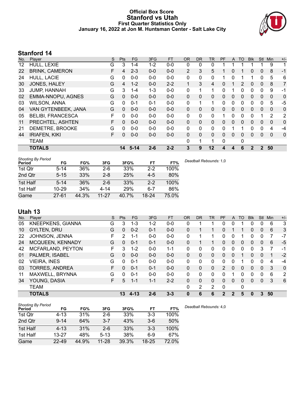### **Official Box Score Stanford vs Utah First Quarter Statistics Only January 16, 2022 at Jon M. Huntsman Center - Salt Lake City**



# **Stanford 14**

| No. | Plaver                   | S | <b>Pts</b> | <b>FG</b> | 3FG     | <b>FT</b> | 0R           | <b>DR</b>    | TR          | PF | A            | TO | <b>BIK</b> | <b>Stl</b>   | Min          | $+/-$       |
|-----|--------------------------|---|------------|-----------|---------|-----------|--------------|--------------|-------------|----|--------------|----|------------|--------------|--------------|-------------|
| 12  | HULL, LEXIE              | G | 3          | 1-4       | $1 - 2$ | $0-0$     | 0            | 0            | 0           |    |              |    |            |              | 9            | 1           |
| 22  | <b>BRINK, CAMERON</b>    | F | 4          | $2 - 3$   | $0 - 0$ | $0-0$     | 2            | 3            | 5           |    | 0            |    | 0          | 0            | 8            | $-1$        |
| 24  | <b>HULL, LACIE</b>       | G | 0          | $0 - 0$   | $0 - 0$ | $0 - 0$   | $\Omega$     | 0            | 0           |    | $\Omega$     |    |            | 0            | 5            | 6           |
| 30  | JONES, HALEY             | G | 4          | $1 - 2$   | $0 - 0$ | $2 - 2$   | 1            | 3            | 4           | 0  |              | 2  | 0          | $\mathbf{0}$ | 8            | 7           |
| 33  | <b>JUMP, HANNAH</b>      | G | 3          | $1 - 4$   | $1 - 3$ | $0-0$     | 0            |              | $\mathbf 1$ | 0  |              | 0  | 0          | $\Omega$     | 9            | -1          |
| 02  | <b>EMMA-NNOPU, AGNES</b> | G | $\Omega$   | $0 - 0$   | $0 - 0$ | $0 - 0$   | $\mathbf{0}$ | $\mathbf{0}$ | 0           | 0  | $\mathbf{0}$ | 0  | 0          | $\mathbf{0}$ | $\mathbf{0}$ | 0           |
| 03  | <b>WILSON, ANNA</b>      | G | 0          | $0 - 1$   | $0 - 1$ | $0 - 0$   | $\Omega$     | 1            | 1           | 0  | $\Omega$     | 0  | 0          | $\Omega$     | 5            | $-5$        |
| 04  | VAN GYTENBEEK, JANA      | G | $\Omega$   | $0 - 0$   | $0 - 0$ | $0-0$     | $\mathbf{0}$ | $\mathbf{0}$ | 0           | 0  | $\mathbf{0}$ | 0  | 0          | $\Omega$     | $\mathbf{0}$ | $\mathbf 0$ |
| 05  | <b>BELIBI, FRANCESCA</b> | F | 0          | $0 - 0$   | $0 - 0$ | $0-0$     | $\Omega$     | $\Omega$     | 0           | 1  | $\Omega$     | 0  | 0          | 1            | 2            | 2           |
| 11  | PRECHTEL, ASHTEN         | F | $\Omega$   | $0 - 0$   | $0 - 0$ | $0 - 0$   | $\mathbf{0}$ | $\mathbf{0}$ | 0           | 0  | $\Omega$     | 0  | 0          | $\Omega$     | $\mathbf{0}$ | 0           |
| 21  | DEMETRE, BROOKE          | G | 0          | $0 - 0$   | $0 - 0$ | $0-0$     | $\Omega$     | $\Omega$     | 0           | 0  |              | 1  | 0          | $\Omega$     | 4            | $-4$        |
| 44  | <b>IRIAFEN, KIKI</b>     | F | $\Omega$   | $0 - 0$   | $0 - 0$ | $0-0$     | $\mathbf{0}$ | $\mathbf{0}$ | 0           | 0  | $\Omega$     | 0  | 0          | $\Omega$     | $\mathbf{0}$ | $\mathbf 0$ |
|     | <b>TEAM</b>              |   |            |           |         |           | $\Omega$     | 1            | 1           | 0  |              | 0  |            |              |              |             |
|     | <b>TOTALS</b>            |   | 14         | $5 - 14$  | $2 - 6$ | $2 - 2$   | 3            | 9            | 12          | 4  | 4            | 6  | 2          | $\mathbf{2}$ | 50           |             |

| <b>Shooting By Period</b> |           |       |           |       |         |       |
|---------------------------|-----------|-------|-----------|-------|---------|-------|
| Period                    | FG        | FG%   | 3FG       | 3FG%  | FT      | FT%   |
| 1st Otr                   | $5-14$    | 36%   | 2-6       | 33%   | $2-2$   | 100%  |
| 2nd Qtr                   | $5 - 15$  | 33%   | 2-8       | 25%   | $4-5$   | 80%   |
| 1st Half                  | $5 - 14$  | 36%   | $2-6$     | 33%   | $2 - 2$ | 100%  |
| 1st Half                  | $10 - 29$ | 34%   | 4-14      | 29%   | $6 - 7$ | 86%   |
| Game                      | 27-61     | 44.3% | $11 - 27$ | 40.7% | 18-24   | 75.0% |

*Deadball Rebounds:* 1,0

# **Utah 13**

| No.            | Plaver                | S  | <b>Pts</b> | FG.      | 3FG     | <b>FT</b> | OR       | DR       | TR             | PF            | A        | TO       | <b>Blk</b> | Stl | Min | $+/-$        |
|----------------|-----------------------|----|------------|----------|---------|-----------|----------|----------|----------------|---------------|----------|----------|------------|-----|-----|--------------|
| 05             | KNEEPKENS, GIANNA     | G  | 3          | $1 - 3$  | $1 - 2$ | $0 - 0$   | 0        | 1        | 1              | 0             | 0        |          | 0          | 0   | 6   | 3            |
| 10             | <b>GYLTEN, DRU</b>    | G  | $\Omega$   | $0 - 2$  | $0 - 1$ | $0 - 0$   | 0        |          |                | 0             |          |          | 0          | 0   | 6   | 3            |
| 22             | JOHNSON, JENNA        | F. | 2          | 1-1      | $0 - 0$ | $0 - 0$   | 0        |          | 1              | 0             | 0        |          | 0          | 0   |     | $-7$         |
| 24             | MCQUEEN, KENNADY      | G  | 0          | $0 - 1$  | $0 - 1$ | $0 - 0$   | 0        |          |                | 0             | 0        | 0        | 0          | 0   | 6   | $-5$         |
| 42             | MCFARLAND, PEYTON     | F  | 3          | $1 - 2$  | $0 - 0$ | 1-1       | 0        | 0        | 0              | 0             | 0        |          | O          | 3   |     | -1           |
| 0 <sub>1</sub> | PALMER, ISABEL        | G  | 0          | $0 - 0$  | $0 - 0$ | $0 - 0$   | $\Omega$ | 0        | 0              | 0             | 0        |          | 0          | 0   | 1   | $-2$         |
| 02             | <b>VIEIRA, INES</b>   | G  | 0          | $0 - 1$  | $0 - 0$ | $0 - 0$   | 0        | 0        | 0              | 0             | $\Omega$ |          | 0          | 0   | 4   | -4           |
| 03             | <b>TORRES, ANDREA</b> | F. | 0          | $0 - 1$  | $0 - 1$ | $0 - 0$   | $\Omega$ | $\Omega$ | 0              | $\mathcal{P}$ | $\Omega$ | $\Omega$ | 0          | 0   | 3   | $\mathbf{0}$ |
| 11             | MAXWELL, BRYNNA       | G  | 0          | $0 - 1$  | $0 - 0$ | $0 - 0$   | $\Omega$ | 0        | 0              | 0             |          | 0        | 0          | 0   | 6   | 2            |
| 34             | YOUNG, DASIA          | F. | 5          | $1 - 1$  | $1 - 1$ | $2 - 2$   | 0        | $\Omega$ | 0              | 0             | $\Omega$ | 0        | $\Omega$   | 0   | 3   | 6            |
|                | <b>TEAM</b>           |    |            |          |         |           | 0        | 2        | $\overline{2}$ | 0             |          | 0        |            |     |     |              |
|                | <b>TOTALS</b>         |    | 13         | $4 - 13$ | $2 - 6$ | $3 - 3$   | 0        | 6        | 6              | 2             | 2        | 5        | 0          | 3   | 50  |              |

| <b>Shooting By Period</b> |           |       |          |       |           |       | Dε |
|---------------------------|-----------|-------|----------|-------|-----------|-------|----|
| Period                    | FG        | FG%   | 3FG      | 3FG%  | <b>FT</b> | FT%   |    |
| 1st Qtr                   | 4-13      | 31%   | $2-6$    | 33%   | $3-3$     | 100%  |    |
| 2nd Qtr                   | $9 - 14$  | 64%   | $3 - 7$  | 43%   | $3-6$     | 50%   |    |
| 1st Half                  | $4 - 13$  | 31%   | $2 - 6$  | 33%   | $3-3$     | 100%  |    |
| 1st Half                  | $13 - 27$ | 48%   | $5 - 13$ | 38%   | 6-9       | 67%   |    |
| Game                      | $22 - 49$ | 44.9% | 11-28    | 39.3% | $18 - 25$ | 72.0% |    |

*Deadball Rebounds:* 4,0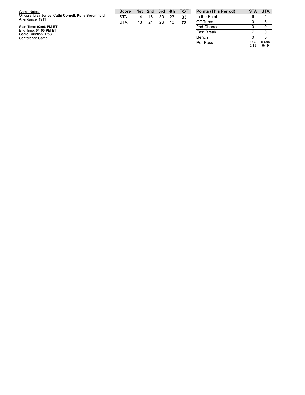| Game Notes:                                                                | <b>Score</b> |    | 1st 2nd | 3rd | 4th | <b>TOT</b> | <b>Points (Th</b> |
|----------------------------------------------------------------------------|--------------|----|---------|-----|-----|------------|-------------------|
| Officials: Lisa Jones, Cathi Cornell, Kelly Broomfield<br>Attendance: 1911 | <b>STA</b>   | 14 | 16      | 30  | 23  | 83         | In the Pair       |
|                                                                            | UTA          | 13 | 24      | 26  | 10  | 73         | Off Turns         |
| Start Time: 02:06 PM ET                                                    |              |    |         |     |     |            | 2nd Chano         |
| End Time: 04:00 PM ET<br>Game Duration: 1:53                               |              |    |         |     |     |            | <b>Fast Breal</b> |
| Conference Game;                                                           |              |    |         |     |     |            | Bench             |

| <b>Points (This Period)</b> | STA           | UTA           |
|-----------------------------|---------------|---------------|
| In the Paint                | 6             |               |
| Off Turns                   | O             | 5             |
| 2nd Chance                  | ი             |               |
| <b>Fast Break</b>           |               |               |
| Bench                       | n             | 5             |
| Per Poss                    | 0.778<br>6/18 | 0.684<br>6/19 |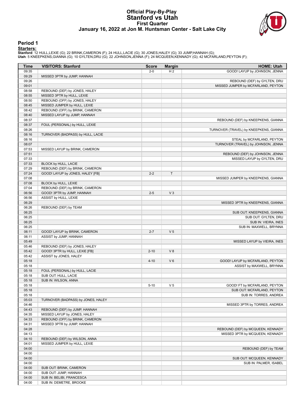#### **Official Play-By-Play Stanford vs Utah First Quarter January 16, 2022 at Jon M. Huntsman Center - Salt Lake City**



#### **Period 1**

<mark>Starters:</mark><br>Stanford: 12 HULL,LEXIE (G); 22 BRINK,CAMERON (F); 24 HULL,LACIE (G); 30 JONES,HALEY (G); 33 JUMP,HANNAH (G);<br>Utah: 5 KNEEPKENS,GIANNA (G); 10 GYLTEN,DRU (G); 22 JOHNSON,JENNA (F); 24 MCQUEEN,KENNADY (G); 42 MC

| Time           | <b>VISITORS: Stanford</b>                        | <b>Score</b> | <b>Margin</b>  | <b>HOME: Utah</b>                      |
|----------------|--------------------------------------------------|--------------|----------------|----------------------------------------|
| 09:35          |                                                  | $2 - 0$      | H <sub>2</sub> | GOOD! LAYUP by JOHNSON, JENNA          |
| 09:29          | MISSED 3PTR by JUMP, HANNAH                      |              |                |                                        |
| 09:26          |                                                  |              |                | REBOUND (DEF) by GYLTEN, DRU           |
| 09:01          |                                                  |              |                | MISSED JUMPER by MCFARLAND, PEYTON     |
| 08:58          | REBOUND (DEF) by JONES, HALEY                    |              |                |                                        |
| 08:55          | MISSED 3PTR by HULL, LEXIE                       |              |                |                                        |
| 08:50          | REBOUND (OFF) by JONES, HALEY                    |              |                |                                        |
| 08:45          | MISSED JUMPER by HULL, LEXIE                     |              |                |                                        |
| 08:42          | REBOUND (OFF) by BRINK, CAMERON                  |              |                |                                        |
| 08:40          | MISSED LAYUP by JUMP, HANNAH                     |              |                |                                        |
| 08:37<br>08:37 | FOUL (PERSONAL) by HULL, LEXIE                   |              |                | REBOUND (DEF) by KNEEPKENS, GIANNA     |
| 08:26          |                                                  |              |                |                                        |
| 08:16          | TURNOVER (BADPASS) by HULL, LACIE                |              |                | TURNOVER (TRAVEL) by KNEEPKENS, GIANNA |
| 08:16          |                                                  |              |                | STEAL by MCFARLAND, PEYTON             |
| 08:07          |                                                  |              |                | TURNOVER (TRAVEL) by JOHNSON, JENNA    |
| 07:53          | MISSED LAYUP by BRINK, CAMERON                   |              |                |                                        |
| 07:51          |                                                  |              |                | REBOUND (DEF) by JOHNSON, JENNA        |
| 07:33          |                                                  |              |                | MISSED LAYUP by GYLTEN, DRU            |
| 07:33          | BLOCK by HULL, LACIE                             |              |                |                                        |
| 07:29          | REBOUND (DEF) by BRINK, CAMERON                  |              |                |                                        |
| 07:24          | GOOD! LAYUP by JONES, HALEY [FB]                 | $2 - 2$      | T              |                                        |
| 07:08          |                                                  |              |                | MISSED JUMPER by KNEEPKENS, GIANNA     |
| 07:08          | BLOCK by HULL, LEXIE                             |              |                |                                        |
| 07:04          | REBOUND (DEF) by BRINK, CAMERON                  |              |                |                                        |
| 06:56          | GOOD! 3PTR by JUMP, HANNAH                       | $2 - 5$      | V <sub>3</sub> |                                        |
| 06:56          | ASSIST by HULL, LEXIE                            |              |                |                                        |
| 06:29          |                                                  |              |                | MISSED 3PTR by KNEEPKENS, GIANNA       |
| 06:26          | REBOUND (DEF) by TEAM                            |              |                |                                        |
| 06:25          |                                                  |              |                | SUB OUT: KNEEPKENS, GIANNA             |
| 06:25          |                                                  |              |                | SUB OUT: GYLTEN, DRU                   |
| 06:25          |                                                  |              |                | SUB IN: VIEIRA, INES                   |
| 06:25          |                                                  |              |                | SUB IN: MAXWELL, BRYNNA                |
| 06:11          | GOOD! LAYUP by BRINK, CAMERON                    | $2 - 7$      | V <sub>5</sub> |                                        |
| 06:11          | ASSIST by JUMP, HANNAH                           |              |                |                                        |
| 05:49<br>05:46 | REBOUND (DEF) by JONES, HALEY                    |              |                | MISSED LAYUP by VIEIRA, INES           |
| 05:42          | GOOD! 3PTR by HULL, LEXIE [FB]                   | $2 - 10$     | V8             |                                        |
| 05:42          | ASSIST by JONES, HALEY                           |              |                |                                        |
| 05:18          |                                                  | $4 - 10$     | $V_6$          | GOOD! LAYUP by MCFARLAND, PEYTON       |
| 05:18          |                                                  |              |                | ASSIST by MAXWELL, BRYNNA              |
| 05:18          | FOUL (PERSONAL) by HULL, LACIE                   |              |                |                                        |
| 05:18          | SUB OUT: HULL, LACIE                             |              |                |                                        |
| 05:18          | SUB IN: WILSON, ANNA                             |              |                |                                        |
| 05:18          |                                                  | $5 - 10$     | V <sub>5</sub> | GOOD! FT by MCFARLAND, PEYTON          |
| 05:18          |                                                  |              |                | SUB OUT: MCFARLAND, PEYTON             |
| 05:18          |                                                  |              |                | SUB IN: TORRES, ANDREA                 |
| 05:03          | TURNOVER (BADPASS) by JONES, HALEY               |              |                |                                        |
| 04:46          |                                                  |              |                | MISSED 3PTR by TORRES, ANDREA          |
| 04:43          | REBOUND (DEF) by JUMP, HANNAH                    |              |                |                                        |
| 04:35          | MISSED LAYUP by JONES, HALEY                     |              |                |                                        |
| 04:33          | REBOUND (OFF) by BRINK, CAMERON                  |              |                |                                        |
| 04:31          | MISSED 3PTR by JUMP, HANNAH                      |              |                |                                        |
| 04:28          |                                                  |              |                | REBOUND (DEF) by MCQUEEN, KENNADY      |
| 04:13          |                                                  |              |                | MISSED 3PTR by MCQUEEN, KENNADY        |
| 04:10          | REBOUND (DEF) by WILSON, ANNA                    |              |                |                                        |
| 04:01          | MISSED JUMPER by HULL, LEXIE                     |              |                |                                        |
| 04:00          |                                                  |              |                | REBOUND (DEF) by TEAM                  |
| 04:00          |                                                  |              |                |                                        |
| 04:00          |                                                  |              |                | SUB OUT: MCQUEEN, KENNADY              |
| 04:00          |                                                  |              |                | SUB IN: PALMER, ISABEL                 |
| 04:00<br>04:00 | SUB OUT: BRINK, CAMERON<br>SUB OUT: JUMP, HANNAH |              |                |                                        |
| 04:00          | SUB IN: BELIBI, FRANCESCA                        |              |                |                                        |
| 04:00          | SUB IN: DEMETRE, BROOKE                          |              |                |                                        |
|                |                                                  |              |                |                                        |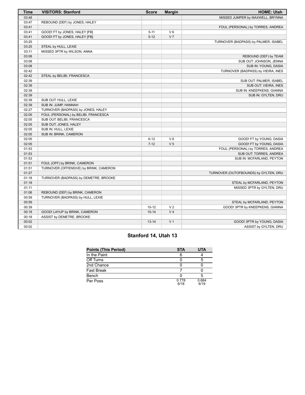| Time                                               | <b>VISITORS: Stanford</b>                                  | <b>Score</b>                        | <b>Margin</b>                                      | <b>HOME: Utah</b>                                                                                                    |
|----------------------------------------------------|------------------------------------------------------------|-------------------------------------|----------------------------------------------------|----------------------------------------------------------------------------------------------------------------------|
| 03:48                                              |                                                            |                                     |                                                    | MISSED JUMPER by MAXWELL, BRYNNA                                                                                     |
| 03:47                                              | REBOUND (DEF) by JONES, HALEY                              |                                     |                                                    |                                                                                                                      |
| 03:41                                              |                                                            |                                     |                                                    | FOUL (PERSONAL) by TORRES, ANDREA                                                                                    |
| 03:41                                              | GOOD! FT by JONES, HALEY [FB]                              | $5 - 11$                            | $V_6$                                              |                                                                                                                      |
| 03:41                                              | GOOD! FT by JONES, HALEY [FB]                              | $5 - 12$                            | V <sub>7</sub>                                     |                                                                                                                      |
| 03:25                                              |                                                            |                                     |                                                    | TURNOVER (BADPASS) by PALMER, ISABEL                                                                                 |
| 03:25                                              | STEAL by HULL, LEXIE                                       |                                     |                                                    |                                                                                                                      |
| 03:11                                              | MISSED 3PTR by WILSON, ANNA                                |                                     |                                                    |                                                                                                                      |
| 03:08                                              |                                                            |                                     |                                                    | REBOUND (DEF) by TEAM                                                                                                |
| 03:08                                              |                                                            |                                     |                                                    | SUB OUT: JOHNSON, JENNA                                                                                              |
| 03:08                                              |                                                            |                                     |                                                    | SUB IN: YOUNG, DASIA                                                                                                 |
| 02:42                                              |                                                            |                                     |                                                    | TURNOVER (BADPASS) by VIEIRA, INES                                                                                   |
| 02:42                                              | STEAL by BELIBI, FRANCESCA                                 |                                     |                                                    |                                                                                                                      |
| 02:39                                              |                                                            |                                     |                                                    | SUB OUT: PALMER, ISABEL                                                                                              |
| 02:39                                              |                                                            |                                     |                                                    | SUB OUT: VIEIRA, INES                                                                                                |
| 02:39                                              |                                                            |                                     |                                                    | SUB IN: KNEEPKENS, GIANNA                                                                                            |
| 02:39                                              |                                                            |                                     |                                                    | SUB IN: GYLTEN, DRU                                                                                                  |
| 02:39                                              | SUB OUT: HULL, LEXIE                                       |                                     |                                                    |                                                                                                                      |
| 02:39                                              | SUB IN: JUMP, HANNAH                                       |                                     |                                                    |                                                                                                                      |
| 02:27                                              | TURNOVER (BADPASS) by JONES, HALEY                         |                                     |                                                    |                                                                                                                      |
| 02:05                                              | FOUL (PERSONAL) by BELIBI, FRANCESCA                       |                                     |                                                    |                                                                                                                      |
| 02:05                                              | SUB OUT: BELIBI, FRANCESCA                                 |                                     |                                                    |                                                                                                                      |
| 02:05                                              | SUB OUT: JONES, HALEY                                      |                                     |                                                    |                                                                                                                      |
| 02:05                                              | SUB IN: HULL, LEXIE                                        |                                     |                                                    |                                                                                                                      |
| 02:05                                              | SUB IN: BRINK, CAMERON                                     |                                     |                                                    |                                                                                                                      |
| 02:05                                              |                                                            | $6 - 12$                            | $V_6$                                              | GOOD! FT by YOUNG, DASIA                                                                                             |
| 02:05                                              |                                                            | $7 - 12$                            | V <sub>5</sub>                                     | GOOD! FT by YOUNG, DASIA                                                                                             |
| 01:53                                              |                                                            |                                     |                                                    | FOUL (PERSONAL) by TORRES, ANDREA                                                                                    |
| 01:53                                              |                                                            |                                     |                                                    | SUB OUT: TORRES, ANDREA                                                                                              |
| 01:53                                              |                                                            |                                     |                                                    | SUB IN: MCFARLAND, PEYTON                                                                                            |
| 01:51                                              | FOUL (OFF) by BRINK, CAMERON                               |                                     |                                                    |                                                                                                                      |
| 01:51                                              | TURNOVER (OFFENSIVE) by BRINK, CAMERON                     |                                     |                                                    |                                                                                                                      |
| 01:27                                              |                                                            |                                     |                                                    | TURNOVER (OUTOFBOUNDS) by GYLTEN, DRU                                                                                |
| 01:18                                              | TURNOVER (BADPASS) by DEMETRE, BROOKE                      |                                     |                                                    |                                                                                                                      |
| 01:18                                              |                                                            |                                     |                                                    | STEAL by MCFARLAND, PEYTON                                                                                           |
| 01:11                                              |                                                            |                                     |                                                    | MISSED 3PTR by GYLTEN, DRU                                                                                           |
| 01:06                                              | REBOUND (DEF) by BRINK, CAMERON                            |                                     |                                                    |                                                                                                                      |
| 00:59                                              | TURNOVER (BADPASS) by HULL, LEXIE                          |                                     |                                                    |                                                                                                                      |
|                                                    |                                                            |                                     |                                                    |                                                                                                                      |
|                                                    |                                                            |                                     |                                                    |                                                                                                                      |
|                                                    |                                                            |                                     |                                                    |                                                                                                                      |
|                                                    |                                                            |                                     |                                                    |                                                                                                                      |
|                                                    |                                                            |                                     |                                                    |                                                                                                                      |
|                                                    |                                                            |                                     |                                                    |                                                                                                                      |
| 00:59<br>00:39<br>00:18<br>00:18<br>00:02<br>00:02 | GOOD! LAYUP by BRINK, CAMERON<br>ASSIST by DEMETRE, BROOKE | $10 - 12$<br>$10 - 14$<br>$13 - 14$ | V <sub>2</sub><br>V <sub>4</sub><br>V <sub>1</sub> | STEAL by MCFARLAND, PEYTON<br>GOOD! 3PTR by KNEEPKENS, GIANNA<br>GOOD! 3PTR by YOUNG, DASIA<br>ASSIST by GYLTEN, DRU |

# **Stanford 14, Utah 13**

| <b>Points (This Period)</b> | <b>STA</b>    | <b>UTA</b>    |
|-----------------------------|---------------|---------------|
| In the Paint                |               |               |
| Off Turns                   |               |               |
| 2nd Chance                  |               |               |
| Fast Break                  |               |               |
| Bench                       |               |               |
| Per Poss                    | 0.778<br>6/18 | 0.684<br>6/19 |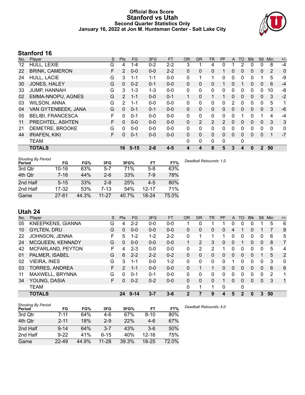### **Official Box Score Stanford vs Utah Second Quarter Statistics Only January 16, 2022 at Jon M. Huntsman Center - Salt Lake City**



# **Stanford 16**

| No. | Plaver                   | S | <b>Pts</b>    | <b>FG</b> | 3FG     | <b>FT</b> | 0R           | <b>DR</b>    | TR             | PF            | A            | TO | <b>BIK</b> | <b>Stl</b>   | Min      | $+/-$        |
|-----|--------------------------|---|---------------|-----------|---------|-----------|--------------|--------------|----------------|---------------|--------------|----|------------|--------------|----------|--------------|
| 12  | HULL, LEXIE              | G | 4             | $1 - 4$   | $0 - 2$ | $2 - 2$   | 3            |              | 4              | 0             |              | 2  | 0          | 0            | 8        | $-4$         |
| 22  | <b>BRINK, CAMERON</b>    | F | 2             | $0 - 0$   | $0 - 0$ | $2 - 2$   | $\Omega$     | $\mathbf{0}$ | 0              |               | 0            | 0  | 0          | 0            | 2        | 0            |
| 24  | <b>HULL, LACIE</b>       | G | 3             | $1 - 1$   | $1 - 1$ | $0 - 0$   | 0            |              | 1              | 0             | $\mathbf{0}$ | 0  | 0          |              | 5        | -9           |
| 30  | JONES, HALEY             | G | $\Omega$      | $0 - 2$   | $0 - 1$ | $0-0$     | $\mathbf{0}$ | $\mathbf{0}$ | 0              |               | $\Omega$     |    | 0          | $\mathbf{0}$ | 6        | $-4$         |
| 33  | <b>JUMP, HANNAH</b>      | G | 3             | $1 - 3$   | $1 - 3$ | $0-0$     | $\Omega$     | $\mathbf{0}$ | 0              | 0             | $\Omega$     | 0  | 0          | 0            | 10       | -8           |
| 02  | <b>EMMA-NNOPU, AGNES</b> | G | 2             | $1 - 1$   | $0 - 0$ | $0 - 1$   | 1            | $\Omega$     | 1              |               | $\Omega$     | 0  | 0          | $\mathbf{0}$ | 3        | $-2$         |
| 03  | <b>WILSON, ANNA</b>      | G | $\mathcal{P}$ | $1 - 1$   | $0 - 0$ | $0 - 0$   | $\Omega$     | 0            | 0              | 0             | 2            | 0  | 0          | $\Omega$     | 5        | 1            |
| 04  | VAN GYTENBEEK, JANA      | G | $\Omega$      | $0 - 1$   | $0 - 1$ | $0-0$     | $\mathbf{0}$ | $\mathbf{0}$ | 0              | 0             | $\Omega$     | 0  | 0          | $\Omega$     | 3        | $-6$         |
| 05  | <b>BELIBI, FRANCESCA</b> | F | 0             | $0 - 1$   | $0 - 0$ | $0 - 0$   | $\Omega$     | $\Omega$     | 0              | 0             | $\Omega$     | 1  | 0          |              | 4        | $-4$         |
| 11  | PRECHTEL, ASHTEN         | F | $\Omega$      | $0 - 0$   | $0 - 0$ | $0 - 0$   | $\mathbf{0}$ | 2            | $\overline{2}$ | $\mathcal{P}$ | $\Omega$     | 0  | 0          | $\mathbf{0}$ | 3        | 3            |
| 21  | DEMETRE, BROOKE          | G | 0             | $0 - 0$   | $0 - 0$ | $0 - 0$   | $\Omega$     | $\Omega$     | 0              | 0             | $\Omega$     | 0  | 0          | $\Omega$     | $\Omega$ | $\mathbf{0}$ |
| 44  | <b>IRIAFEN, KIKI</b>     | F | $\Omega$      | $0 - 1$   | $0 - 0$ | $0-0$     | $\mathbf{0}$ | $\mathbf{0}$ | 0              | 0             | $\Omega$     | 0  | 0          | $\Omega$     |          | $-7$         |
|     | <b>TEAM</b>              |   |               |           |         |           | $\Omega$     | $\mathbf{0}$ | 0              | 0             |              | 0  |            |              |          |              |
|     | <b>TOTALS</b>            |   | 16            | $5 - 15$  | $2 - 8$ | $4 - 5$   | 4            | 4            | 8              | 5             | 3            | 4  | 0          | $\mathbf{2}$ | 50       |              |

| <b>Shooting By Period</b><br>Period | FG        | FG%   | 3FG       | 3FG%  | FT        | FT%   |
|-------------------------------------|-----------|-------|-----------|-------|-----------|-------|
| 3rd Qtr                             | $10 - 16$ | 63%   | $5 - 7$   | 71%   | $5-8$     | 63%   |
| 4th Qtr                             | $7 - 16$  | 44%   | $2 - 6$   | 33%   | $7-9$     | 78%   |
| 2nd Half                            | $5 - 15$  | 33%   | $2 - 8$   | 25%   | $4-5$     | 80%   |
| 2nd Half                            | $17 - 32$ | 53%   | $7-13$    | 54%   | $12 - 17$ | 71%   |
| Game                                | $27 - 61$ | 44.3% | $11 - 27$ | 40.7% | $18 - 24$ | 75.0% |

*Deadball Rebounds:* 1,0

# **Utah 24**

| No. | Player                   | S  | Pts           | FG.      | 3FG     | <b>FT</b> | 0R                   | <b>DR</b> | TR       | <b>PF</b> | A | TO          | <b>Blk</b> | Stl          | Min | $+/-$        |
|-----|--------------------------|----|---------------|----------|---------|-----------|----------------------|-----------|----------|-----------|---|-------------|------------|--------------|-----|--------------|
| 05  | <b>KNEEPKENS, GIANNA</b> | G  | 4             | $2 - 2$  | $0 - 0$ | $0-0$     |                      | 0         |          |           | 0 | 0           |            |              | 5   | 6            |
| 10  | <b>GYLTEN, DRU</b>       | G  | $\Omega$      | $0 - 0$  | $0 - 0$ | $0 - 0$   | 0                    | 0         | 0        | 0         | 4 |             | 0          |              |     | 8            |
| 22  | JOHNSON, JENNA           | F. | 5             | 1-2      | $1 - 2$ | $2 - 2$   | 0                    | 4         |          | 1         | 0 | 0           | 0          | 0            | 6   | 5            |
| 24  | MCQUEEN, KENNADY         | G  | 0             | $0 - 0$  | $0 - 0$ | $0 - 0$   | $\blacktriangleleft$ | 2         | 3        | 0         | 0 |             | 0          | 0            | 8   | 7            |
| 42  | MCFARLAND, PEYTON        | F  | 4             | $2 - 3$  | $0 - 0$ | $0 - 0$   | 0                    | 2         | 2        | 4         | 0 | 0           | 0          | 0            | 5   | 4            |
| 01  | PALMER, ISABEL           | G  | 6             | $2 - 2$  | $2 - 2$ | $0 - 2$   | 0                    | 0         | 0        | 0         | 0 | 0           | 0          |              | 5   | 2            |
| 02  | <b>VIEIRA, INES</b>      | G  | 3             | 1-1      | $0 - 0$ | $1 - 2$   | 0                    | $\Omega$  | 0        | 0         |   | 0           | 0          | $\Omega$     | 3   | $\mathbf 0$  |
| 03  | <b>TORRES, ANDREA</b>    | F. | $\mathcal{P}$ | $1 - 1$  | $0 - 0$ | $0 - 0$   | 0                    | 1         | 1        | 0         | 0 | 0           | 0          | 0            | 6   | 6            |
| 11  | MAXWELL, BRYNNA          | G  | $\Omega$      | $0 - 1$  | $0 - 1$ | $0 - 0$   | 0                    | $\Omega$  | $\Omega$ | 0         | 0 | 0           | 0          | 0            | 2   |              |
| 34  | YOUNG, DASIA             | F  | $\Omega$      | $0 - 2$  | $0 - 2$ | $0 - 0$   | 0                    | 0         | 0        |           | 0 | 0           | 0          | $\mathbf{0}$ | 3   | $\mathbf{1}$ |
|     | <b>TEAM</b>              |    |               |          |         |           | 0                    | ◀         |          | 0         |   | 0           |            |              |     |              |
|     | <b>TOTALS</b>            |    | 24            | $9 - 14$ | $3 - 7$ | $3 - 6$   | 2                    |           | 9        | 4         | 5 | $\mathbf 2$ | 0          | 3            | 50  |              |

| <b>Shooting By Period</b> |          |       |           |       |           |       | De |
|---------------------------|----------|-------|-----------|-------|-----------|-------|----|
| Period                    | FG       | FG%   | 3FG       | 3FG%  | FT.       | FT%   |    |
| 3rd Qtr                   | 7-11     | 64%   | 4-6       | 67%   | $8 - 10$  | 80%   |    |
| 4th Qtr                   | $2 - 11$ | 18%   | $2-9$     | 22%   | $4-6$     | 67%   |    |
| 2nd Half                  | $9 - 14$ | 64%   | $3 - 7$   | 43%   | $3-6$     | 50%   |    |
| 2nd Half                  | $9-22$   | 41%   | 6-15      | 40%   | $12 - 16$ | 75%   |    |
| Game                      | 22-49    | 44.9% | $11 - 28$ | 39.3% | $18 - 25$ | 72.0% |    |

*Deadball Rebounds:* 4,0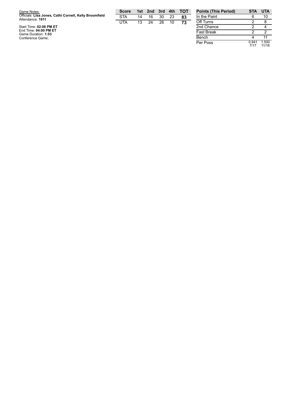| Game Notes:                                                                | <b>Score</b> |    | 1st 2nd 3rd 4th |    |    | тот | <b>Points (1</b> |
|----------------------------------------------------------------------------|--------------|----|-----------------|----|----|-----|------------------|
| Officials: Lisa Jones, Cathi Cornell, Kelly Broomfield<br>Attendance: 1911 | <b>STA</b>   | 14 | 16              | 30 |    | 83  | In the Pa        |
|                                                                            | UTA          | 13 | 24              | 26 | 10 | 73  | Off Turns        |
| Start Time: 02:06 PM ET                                                    |              |    |                 |    |    |     | 2nd Char         |
| End Time: 04:00 PM ET<br>Game Duration: 1:53                               |              |    |                 |    |    |     | <b>Fast Brea</b> |
| Conference Game;                                                           |              |    |                 |    |    |     | Bench            |

| <b>Points (This Period)</b> | <b>STA</b>    | <b>UTA</b>     |
|-----------------------------|---------------|----------------|
| In the Paint                | 6             | 10             |
| Off Turns                   | 2             | 8              |
| 2nd Chance                  | 2             |                |
| <b>Fast Break</b>           | 2             | 2              |
| Bench                       | 4             | 11             |
| Per Poss                    | 0.941<br>7/17 | 1.500<br>11/16 |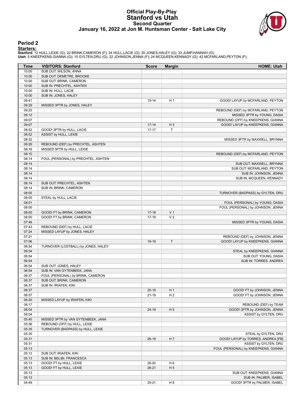#### **Official Play-By-Play Stanford vs Utah Second Quarter January 16, 2022 at Jon M. Huntsman Center - Salt Lake City**



#### **Period 2**

<mark>Starters:</mark><br>Stanford: 12 HULL,LEXIE (G); 22 BRINK,CAMERON (F); 24 HULL,LACIE (G); 30 JONES,HALEY (G); 33 JUMP,HANNAH (G);<br>Utah: 5 KNEEPKENS,GIANNA (G); 10 GYLTEN,DRU (G); 22 JOHNSON,JENNA (F); 24 MCQUEEN,KENNADY (G); 42 MC

| Time           | <b>VISITORS: Stanford</b>                                         | <b>Score</b>     | <b>Margin</b>  | <b>HOME: Utah</b>                    |
|----------------|-------------------------------------------------------------------|------------------|----------------|--------------------------------------|
| 10:00          | SUB OUT: WILSON, ANNA                                             |                  |                |                                      |
| 10:00          | SUB OUT: DEMETRE, BROOKE                                          |                  |                |                                      |
| 10:00          | SUB OUT: BRINK, CAMERON                                           |                  |                |                                      |
| 10:00          | SUB IN: PRECHTEL, ASHTEN                                          |                  |                |                                      |
| 10:00          | SUB IN: HULL, LACIE                                               |                  |                |                                      |
| 10:00          | SUB IN: JONES, HALEY                                              |                  |                |                                      |
| 09:41<br>09:29 | MISSED 3PTR by JONES, HALEY                                       | $15 - 14$        | H <sub>1</sub> | GOOD! LAYUP by MCFARLAND, PEYTON     |
| 09:25          |                                                                   |                  |                | REBOUND (DEF) by MCFARLAND, PEYTON   |
| 09:12          |                                                                   |                  |                | MISSED 3PTR by YOUNG, DASIA          |
| 09:07          |                                                                   |                  |                | REBOUND (OFF) by KNEEPKENS, GIANNA   |
| 09:07          |                                                                   | $17 - 14$        | $H_3$          | GOOD! LAYUP by KNEEPKENS, GIANNA     |
| 08:52          | GOOD! 3PTR by HULL, LACIE                                         | $17 - 17$        | Т              |                                      |
| 08:52          | ASSIST by HULL, LEXIE                                             |                  |                |                                      |
| 08:32          |                                                                   |                  |                | MISSED 3PTR by MAXWELL, BRYNNA       |
| 08:29          | REBOUND (DEF) by PRECHTEL, ASHTEN                                 |                  |                |                                      |
| 08:18<br>08:15 | MISSED 3PTR by HULL, LEXIE                                        |                  |                |                                      |
| 08:14          | FOUL (PERSONAL) by PRECHTEL, ASHTEN                               |                  |                | REBOUND (DEF) by MCFARLAND, PEYTON   |
| 08:14          |                                                                   |                  |                | SUB OUT: MAXWELL, BRYNNA             |
| 08:14          |                                                                   |                  |                | SUB OUT: MCFARLAND, PEYTON           |
| 08:14          |                                                                   |                  |                | SUB IN: JOHNSON, JENNA               |
| 08:14          |                                                                   |                  |                | SUB IN: MCQUEEN, KENNADY             |
| 08:14          | SUB OUT: PRECHTEL, ASHTEN                                         |                  |                |                                      |
| 08:14          | SUB IN: BRINK, CAMERON                                            |                  |                |                                      |
| 08:05          |                                                                   |                  |                | TURNOVER (BADPASS) by GYLTEN, DRU    |
| 08:05          | STEAL by HULL, LACIE                                              |                  |                |                                      |
| 08:01          |                                                                   |                  |                | FOUL (PERSONAL) by YOUNG, DASIA      |
| 08:00          |                                                                   |                  | V <sub>1</sub> | FOUL (PERSONAL) by JOHNSON, JENNA    |
| 08:00<br>08:00 | GOOD! FT by BRINK, CAMERON<br>GOOD! FT by BRINK, CAMERON          | $17-18$<br>17-19 | V <sub>2</sub> |                                      |
| 07:46          |                                                                   |                  |                | MISSED 3PTR by YOUNG, DASIA          |
| 07:43          | REBOUND (DEF) by HULL, LACIE                                      |                  |                |                                      |
| 07:24          | MISSED LAYUP by JONES, HALEY                                      |                  |                |                                      |
| 07:21          |                                                                   |                  |                | REBOUND (DEF) by JOHNSON, JENNA      |
| 07:06          |                                                                   | 19-19            | T              | GOOD! LAYUP by KNEEPKENS, GIANNA     |
| 06:54          | TURNOVER (LOSTBALL) by JONES, HALEY                               |                  |                |                                      |
| 06:54          |                                                                   |                  |                | STEAL by KNEEPKENS, GIANNA           |
| 06:54          |                                                                   |                  |                | SUB OUT: YOUNG, DASIA                |
| 06:54          |                                                                   |                  |                | SUB IN: TORRES, ANDREA               |
| 06:54<br>06:54 | SUB OUT: JONES, HALEY                                             |                  |                |                                      |
| 06:37          | SUB IN: VAN GYTENBEEK, JANA<br>FOUL (PERSONAL) by BRINK, CAMERON  |                  |                |                                      |
| 06:37          | SUB OUT: BRINK, CAMERON                                           |                  |                |                                      |
| 06:37          | SUB IN: IRIAFEN, KIKI                                             |                  |                |                                      |
| 06:37          |                                                                   | $20-19$          | H <sub>1</sub> | GOOD! FT by JOHNSON, JENNA           |
| 06:37          |                                                                   | $21 - 19$        | H <sub>2</sub> | GOOD! FT by JOHNSON, JENNA           |
| 06:20          | MISSED LAYUP by IRIAFEN, KIKI                                     |                  |                |                                      |
| 06:17          |                                                                   |                  |                | REBOUND (DEF) by TEAM                |
| 06:04          |                                                                   | $24-19$          | H <sub>5</sub> | GOOD! 3PTR by JOHNSON, JENNA         |
| 06:04          |                                                                   |                  |                | ASSIST by GYLTEN, DRU                |
| 05:45          | MISSED 3PTR by VAN GYTENBEEK, JANA                                |                  |                |                                      |
| 05:36<br>05:35 | REBOUND (OFF) by HULL, LEXIE<br>TURNOVER (BADPASS) by HULL, LEXIE |                  |                |                                      |
| 05:35          |                                                                   |                  |                | STEAL by GYLTEN, DRU                 |
| 05:31          |                                                                   | $26-19$          | H <sub>7</sub> | GOOD! LAYUP by TORRES, ANDREA [FB]   |
| 05:31          |                                                                   |                  |                | ASSIST by GYLTEN, DRU                |
| 05:13          |                                                                   |                  |                | FOUL (PERSONAL) by KNEEPKENS, GIANNA |
| 05:13          | SUB OUT: IRIAFEN, KIKI                                            |                  |                |                                      |
| 05:13          | SUB IN: BELIBI, FRANCESCA                                         |                  |                |                                      |
| 05:13          | GOOD! FT by HULL, LEXIE                                           | 26-20            | H <sub>6</sub> |                                      |
| 05:13          | GOOD! FT by HULL, LEXIE                                           | $26 - 21$        | H <sub>5</sub> |                                      |
| 05:13          |                                                                   |                  |                | SUB OUT: KNEEPKENS, GIANNA           |
| 05:13          |                                                                   |                  |                | SUB IN: PALMER, ISABEL               |
| 04:49          |                                                                   | 29-21            | H <sub>8</sub> | GOOD! 3PTR by PALMER, ISABEL         |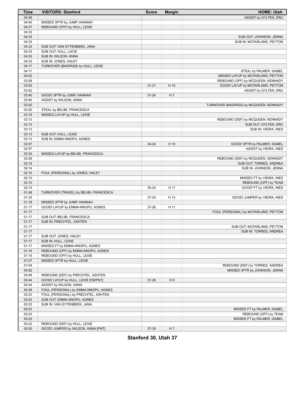| <b>Time</b> | <b>VISITORS: Stanford</b>              | <b>Score</b> | <b>Margin</b> | <b>HOME: Utah</b>                      |
|-------------|----------------------------------------|--------------|---------------|----------------------------------------|
| 04:49       |                                        |              |               | ASSIST by GYLTEN, DRU                  |
| 04:40       | MISSED 3PTR by JUMP, HANNAH            |              |               |                                        |
| 04:37       | REBOUND (OFF) by HULL, LEXIE           |              |               |                                        |
| 04:33       |                                        |              |               |                                        |
| 04:33       |                                        |              |               | SUB OUT: JOHNSON, JENNA                |
| 04:33       |                                        |              |               | SUB IN: MCFARLAND, PEYTON              |
| 04:33       | SUB OUT: VAN GYTENBEEK, JANA           |              |               |                                        |
| 04:33       | SUB OUT: HULL, LACIE                   |              |               |                                        |
| 04:33       | SUB IN: WILSON, ANNA                   |              |               |                                        |
| 04:33       | SUB IN: JONES, HALEY                   |              |               |                                        |
| 04:17       | TURNOVER (BADPASS) by HULL, LEXIE      |              |               |                                        |
| 04:17       |                                        |              |               | STEAL by PALMER, ISABEL                |
| 04:02       |                                        |              |               | MISSED LAYUP by MCFARLAND, PEYTON      |
| 03:59       |                                        |              |               | REBOUND (OFF) by MCQUEEN, KENNADY      |
| 03:52       |                                        | $31 - 21$    | H 10          | GOOD! LAYUP by MCFARLAND, PEYTON       |
| 03:52       |                                        |              |               | ASSIST by GYLTEN, DRU                  |
| 03:40       | GOOD! 3PTR by JUMP, HANNAH             | $31 - 24$    | H 7           |                                        |
| 03:40       | ASSIST by WILSON, ANNA                 |              |               |                                        |
| 03:20       |                                        |              |               | TURNOVER (BADPASS) by MCQUEEN, KENNADY |
| 03:20       | STEAL by BELIBI, FRANCESCA             |              |               |                                        |
| 03:16       | MISSED LAYUP by HULL, LEXIE            |              |               |                                        |
| 03:13       |                                        |              |               | REBOUND (DEF) by MCQUEEN, KENNADY      |
| 03:13       |                                        |              |               | SUB OUT: GYLTEN, DRU                   |
| 03:13       |                                        |              |               | SUB IN: VIEIRA, INES                   |
| 03:13       | SUB OUT: HULL, LEXIE                   |              |               |                                        |
| 03:13       | SUB IN: EMMA-NNOPU, AGNES              |              |               |                                        |
| 02:57       |                                        | $34 - 24$    | H 10          | GOOD! 3PTR by PALMER, ISABEL           |
| 02:57       |                                        |              |               | ASSIST by VIEIRA, INES                 |
| 02:30       | MISSED LAYUP by BELIBI, FRANCESCA      |              |               |                                        |
| 02:28       |                                        |              |               | REBOUND (DEF) by MCQUEEN, KENNADY      |
| 02:14       |                                        |              |               | SUB OUT: TORRES, ANDREA                |
| 02:14       |                                        |              |               | SUB IN: JOHNSON, JENNA                 |
| 02:10       | FOUL (PERSONAL) by JONES, HALEY        |              |               |                                        |
| 02:10       |                                        |              |               | MISSED FT by VIEIRA, INES              |
| 02:10       |                                        |              |               | REBOUND (OFF) by TEAM                  |
| 02:10       |                                        | 35-24        | H 11          | GOOD! FT by VIEIRA, INES               |
| 01:48       | TURNOVER (TRAVEL) by BELIBI, FRANCESCA |              |               |                                        |
| 01:33       |                                        | 37-24        | H 13          | GOOD! JUMPER by VIEIRA, INES           |
| 01:18       | MISSED 3PTR by JUMP, HANNAH            |              |               |                                        |
| 01:17       | GOOD! LAYUP by EMMA-NNOPU, AGNES       | 37-26        | H 11          |                                        |
| 01:17       |                                        |              |               | FOUL (PERSONAL) by MCFARLAND, PEYTON   |
| 01:17       | SUB OUT: BELIBI, FRANCESCA             |              |               |                                        |
| 01:17       | SUB IN: PRECHTEL, ASHTEN               |              |               |                                        |
| 01:17       |                                        |              |               | SUB OUT: MCFARLAND, PEYTON             |
| 01:17       |                                        |              |               | SUB IN: TORRES, ANDREA                 |
| 01:17       | SUB OUT: JONES, HALEY                  |              |               |                                        |
| 01:17       | SUB IN: HULL, LEXIE                    |              |               |                                        |
| 01:17       | MISSED FT by EMMA-NNOPU, AGNES         |              |               |                                        |
| 01:16       | REBOUND (OFF) by EMMA-NNOPU, AGNES     |              |               |                                        |
| 01:15       | REBOUND (OFF) by HULL, LEXIE           |              |               |                                        |
| 01:07       | MISSED 3PTR by HULL, LEXIE             |              |               |                                        |
| 01:04       |                                        |              |               | REBOUND (DEF) by TORRES, ANDREA        |
| 00:52       |                                        |              |               | MISSED 3PTR by JOHNSON, JENNA          |
| 00:48       | REBOUND (DEF) by PRECHTEL, ASHTEN      |              |               |                                        |
| 00:44       | GOOD! LAYUP by HULL, LEXIE [FB/PNT]    | 37-28        | H9            |                                        |
| 00:44       | ASSIST by WILSON, ANNA                 |              |               |                                        |
| 00:36       | FOUL (PERSONAL) by EMMA-NNOPU, AGNES   |              |               |                                        |
| 00:23       | FOUL (PERSONAL) by PRECHTEL, ASHTEN    |              |               |                                        |
| 00:23       | SUB OUT: EMMA-NNOPU, AGNES             |              |               |                                        |
| 00:23       | SUB IN: VAN GYTENBEEK, JANA            |              |               |                                        |
| 00:23       |                                        |              |               | MISSED FT by PALMER, ISABEL            |
| 00:23       |                                        |              |               | REBOUND (OFF) by TEAM                  |
| 00:23       |                                        |              |               | MISSED FT by PALMER, ISABEL            |
| 00:22       | REBOUND (DEF) by HULL, LEXIE           |              |               |                                        |
| 00:00       | GOOD! JUMPER by WILSON, ANNA [PNT]     | 37-30        | H 7           |                                        |

**Stanford 30, Utah 37**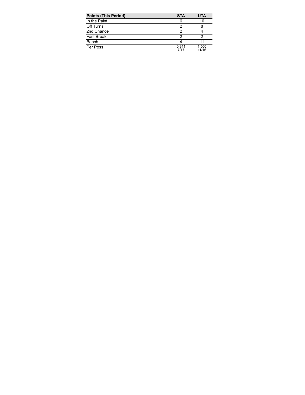| <b>Points (This Period)</b> | <b>STA</b>    | <b>UTA</b>     |
|-----------------------------|---------------|----------------|
| In the Paint                | 6             | 10             |
| Off Turns                   |               |                |
| 2nd Chance                  |               |                |
| <b>Fast Break</b>           |               |                |
| Bench                       |               |                |
| Per Poss                    | 0.941<br>7/17 | 1.500<br>11/16 |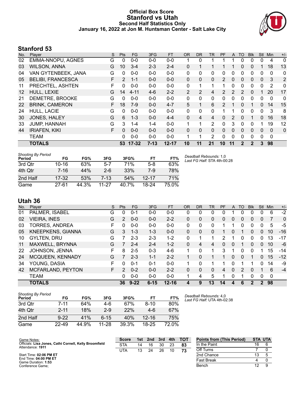### **Official Box Score Stanford vs Utah Second Half Statistics Only January 16, 2022 at Jon M. Huntsman Center - Salt Lake City**



# **Stanford 53**

| No. | Player                   | S | <b>Pts</b> | <b>FG</b> | 3FG      | <b>FT</b> | 0R           | DR.          | TR       | <b>PF</b>      | A            | TO           | <b>BIK</b> | <b>Stl</b>   | Min      | $+/-$          |
|-----|--------------------------|---|------------|-----------|----------|-----------|--------------|--------------|----------|----------------|--------------|--------------|------------|--------------|----------|----------------|
| 02  | <b>EMMA-NNOPU, AGNES</b> | G | 0          | $0 - 0$   | $0 - 0$  | $0 - 0$   |              | 0            |          |                |              | 0            | 0          | 0            | 4        | 0              |
| 03  | <b>WILSON, ANNA</b>      | G | 10         | $3 - 4$   | $2 - 3$  | $2 - 4$   | $\Omega$     |              |          |                |              | 0            | 0          |              | 18       | 13             |
| 04  | VAN GYTENBEEK, JANA      | G | 0          | $0 - 0$   | $0 - 0$  | $0 - 0$   | 0            | 0            | 0        | 0              | 0            | 0            | 0          | 0            | 0        | 0              |
| 05  | <b>BELIBI, FRANCESCA</b> | F | 2          | $1 - 1$   | $0 - 0$  | $0 - 0$   | $\mathbf{0}$ | $\mathbf{0}$ | 0        | $\overline{2}$ | $\mathbf{0}$ | 0            | 0          | $\mathbf{0}$ | 3        | $\overline{2}$ |
| 11  | PRECHTEL, ASHTEN         | F | 0          | $0 - 0$   | $0 - 0$  | $0 - 0$   | 0            | 1            |          |                | 0            | 0            | 0          | 0            | 2        | 0              |
| 12  | HULL, LEXIE              | G | 14         | $4 - 11$  | $4-6$    | $2 - 2$   | 2            | 2            | 4        | 2              | 2            | 2            | 0          |              | 20       | 17             |
| 21  | DEMETRE, BROOKE          | G | 0          | $0 - 0$   | $0 - 0$  | $0 - 0$   | $\mathbf{0}$ | 0            | 0        | 0              | 0            | 0            | 0          | 0            | 0        | 0              |
| 22  | <b>BRINK, CAMERON</b>    | F | 18         | $7-9$     | $0 - 0$  | $4 - 7$   | 5            |              | 6        | 2              |              | 0            | 1          | $\Omega$     | 14       | 15             |
| 24  | HULL, LACIE              | G | $\Omega$   | $0 - 0$   | $0 - 0$  | $0-0$     | $\mathbf{0}$ | 0            | 0        | 1              |              | 0            | 0          | 0            | 3        | 8              |
| 30  | JONES, HALEY             | G | 6          | $1 - 3$   | $0 - 0$  | $4 - 4$   | $\Omega$     | 4            | 4        | $\Omega$       | 2            | $\Omega$     | 1          | $\Omega$     | 16       | 18             |
| 33  | <b>JUMP, HANNAH</b>      | G | 3          | $1 - 4$   | $1 - 4$  | $0 - 0$   | 1            | 1            | 2        | 0              | 3            | 0            | 0          |              | 19       | 12             |
| 44  | <b>IRIAFEN, KIKI</b>     | F | $\Omega$   | $0 - 0$   | $0 - 0$  | $0 - 0$   | $\Omega$     | $\Omega$     | $\Omega$ | $\Omega$       | $\Omega$     | $\Omega$     | 0          | $\Omega$     | $\Omega$ | 0              |
|     | <b>TEAM</b>              |   | 0          | $0 - 0$   | $0 - 0$  | $0 - 0$   | 4            | 1            | 2        | 0              | $\Omega$     | 0            | 0          | $\Omega$     | 0        |                |
|     | <b>TOTALS</b>            |   | 53         | $17 - 32$ | $7 - 13$ | $12 - 17$ | 10           | 11           | 21       | 10             | 11           | $\mathbf{2}$ | 2          | 3            | 98       |                |

| <b>Shooting By Period</b><br>Period | FG        | FG%   | 3FG     | 3FG%  | FT        | FT%   | Dea<br>Last |
|-------------------------------------|-----------|-------|---------|-------|-----------|-------|-------------|
| 3rd Qtr                             | $10 - 16$ | 63%   | 5-7     | 71%   | $5-8$     | 63%   |             |
| 4th Qtr                             | $7 - 16$  | 44%   | $2-6$   | 33%   | 7-9       | 78%   |             |
| 2nd Half                            | 17-32     | 53%   | $7-13$  | 54%   | $12 - 17$ | 71%   |             |
| Game                                | $27 - 61$ | 44.3% | $11-27$ | 40.7% | 18-24     | 75.0% |             |

*Deadball Rebounds:* 1,0 *Last FG Half:* STA 4th-00:28

# **Utah 36**

| No. | Plaver                   | S  | <b>Pts</b>    | FG       | 3FG      | <b>FT</b> | <b>OR</b> | <b>DR</b> | TR | PF | A | TO            | <b>Blk</b>   | Stl            | Min         | $+/-$    |
|-----|--------------------------|----|---------------|----------|----------|-----------|-----------|-----------|----|----|---|---------------|--------------|----------------|-------------|----------|
| 01  | PALMER, ISABEL           | G  | 0             | $0 - 1$  | $0 - 0$  | $0 - 0$   | 0         | 0         | 0  | 0  |   | $\Omega$      | Ω            | 0              | 6           | $-2$     |
| 02  | <b>VIEIRA, INES</b>      | G  | 2             | $0 - 0$  | $0 - 0$  | $2 - 2$   | 0         | 0         | 0  | 0  | 0 | 0             | 0            | 0              |             | $\Omega$ |
| 03  | <b>TORRES, ANDREA</b>    | F  | $\Omega$      | $0 - 0$  | $0 - 0$  | $0 - 0$   | 0         | 0         | 0  |    |   | 0             | 0            | 0              | 5           | -5       |
| 05  | <b>KNEEPKENS, GIANNA</b> | G  | 3             | $1 - 3$  | $1 - 3$  | $0 - 0$   | 0         | 0         | 0  |    | 0 |               | 0            | 0              | 10          | $-16$    |
| 10  | <b>GYLTEN, DRU</b>       | G  |               | $2 - 3$  | $2 - 3$  | $1 - 2$   | 0         | 4         | 1  | 2  |   | 0             | O            | 0              | 13          | -17      |
| 11  | MAXWELL, BRYNNA          | G  |               | $2 - 4$  | $2 - 4$  | $1 - 2$   | 0         | 4         | 4  | 0  | 0 |               | 0            | 0              | 10          | -6       |
| 22  | JOHNSON, JENNA           | F  | 8             | $2 - 5$  | $0 - 3$  | $4-6$     | 1         | 0         | 1  | 3  |   | 0             | <sup>0</sup> |                | 15          | $-14$    |
| 24  | <b>MCQUEEN, KENNADY</b>  | G  | 7             | $2 - 3$  | $1 - 1$  | $2 - 2$   | 1.        | $\Omega$  | 1. | 1  | 0 | 0             |              | 0              | 15          | $-12$    |
| 34  | YOUNG, DASIA             | F  | <sup>0</sup>  | $0 - 1$  | $0 - 1$  | $0 - 0$   |           | 0         | 1  | 1  | 0 |               |              | 0              | 14          | -9       |
| 42  | MCFARLAND, PEYTON        | F. | $\mathcal{P}$ | $0 - 2$  | $0 - 0$  | $2 - 2$   | 0         | 0         | 0  | 4  | 0 | $\mathcal{P}$ | $\Omega$     |                | 6           | $-4$     |
|     | <b>TEAM</b>              |    | 0             | $0 - 0$  | $0 - 0$  | $0 - 0$   |           | 4         | 5  |    | 0 |               | 0            | 0              | $\mathbf 0$ |          |
|     | <b>TOTALS</b>            |    | 36            | $9 - 22$ | $6 - 15$ | $12 - 16$ | 4         | 9         | 13 | 14 | 4 | 6             |              | $\overline{2}$ | 98          |          |

| <b>Shooting By Period</b><br>Period | FG       | FG%   | 3FG      | 3FG%  | FT        | FT%   | Dea<br>Last |
|-------------------------------------|----------|-------|----------|-------|-----------|-------|-------------|
| 3rd Otr                             | 7-11     | 64%   | 4-6      | 67%   | $8 - 10$  | 80%   |             |
| 4th Otr                             | $2 - 11$ | 18%   | $2-9$    | 22%   | $4-6$     | 67%   |             |
| 2nd Half                            | $9 - 22$ | 41%   | $6 - 15$ | 40%   | $12 - 16$ | 75%   |             |
| Game                                | 22-49    | 44.9% | 11-28    | 39.3% | 18-25     | 72.0% |             |

*Deadball Rebounds:* 4,0 *Last FG Half:* UTA 4th-02:38

| Game Notes:                                                                | <b>Score</b> | 1st | 2nd | 3rd | 4th | <b>TOT</b> | <b>Points from (This Period)</b> | <b>STA UTA</b> |  |
|----------------------------------------------------------------------------|--------------|-----|-----|-----|-----|------------|----------------------------------|----------------|--|
| Officials: Lisa Jones, Cathi Cornell, Kelly Broomfield<br>Attendance: 1911 | <b>STA</b>   | 14  | 16  | 30  | 23  | 83         | In the Paint                     | 16             |  |
|                                                                            | UTA          | 13  |     | 26  | 10  | 73         | Off Turns                        |                |  |
| Start Time: 02:06 PM ET                                                    |              |     |     |     |     |            | 2nd Chance                       |                |  |
| End Time: $04:00$ PM ET<br>Game Duration: 1:53                             |              |     |     |     |     |            | <b>Fast Break</b>                |                |  |
| Conference Game;                                                           |              |     |     |     |     |            | Bench                            | 12.            |  |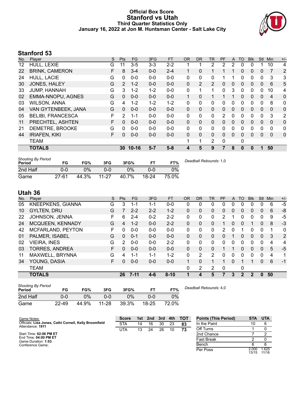### **Official Box Score Stanford vs Utah Third Quarter Statistics Only January 16, 2022 at Jon M. Huntsman Center - Salt Lake City**



# **Stanford 53**

| No. | Plaver                   | S | Pts            | <b>FG</b> | 3FG     | <b>FT</b> | <b>OR</b> | <b>DR</b>    | <b>TR</b>      | <b>PF</b>     | A            | TO       | <b>Blk</b> | Stl          | Min            | $+/-$        |
|-----|--------------------------|---|----------------|-----------|---------|-----------|-----------|--------------|----------------|---------------|--------------|----------|------------|--------------|----------------|--------------|
| 12  | HULL, LEXIE              | G | 11             | $3-5$     | $3 - 3$ | $2 - 2$   |           |              | 2              | 2             | 2            | 0        |            |              | 10             | 4            |
| 22  | <b>BRINK, CAMERON</b>    | F | 8              | $3 - 4$   | $0 - 0$ | $2 - 4$   |           | 0            | 1              |               |              | 0        | 0          | $\mathbf{0}$ |                | 2            |
| 24  | HULL, LACIE              | G | 0              | $0 - 0$   | $0 - 0$ | $0 - 0$   | 0         | 0            | 0              |               |              | 0        | 0          | 0            | 3              | 3            |
| 30  | JONES, HALEY             | G | $\overline{2}$ | $1 - 2$   | $0 - 0$ | $0 - 0$   | $\Omega$  | 2            | 2              | 0             | $\mathbf{0}$ | 0        | 0          | 0            | 6              | 5            |
| 33  | <b>JUMP, HANNAH</b>      | G | 3              | $1 - 2$   | $1 - 2$ | $0 - 0$   | 0         |              | 1              | 0             | 3            | $\Omega$ | 0          | $\Omega$     | 10             | 4            |
| 02  | <b>EMMA-NNOPU, AGNES</b> | G | 0              | $0 - 0$   | $0 - 0$ | $0 - 0$   | 1         | 0            | 1              |               |              | $\Omega$ | 0          | $\Omega$     | $\overline{4}$ | 0            |
| 03  | <b>WILSON, ANNA</b>      | G | 4              | $1 - 2$   | $1 - 2$ | $1 - 2$   | 0         | $\Omega$     | 0              | 0             | 0            | $\Omega$ | 0          | 0            | 8              | 0            |
| 04  | VAN GYTENBEEK, JANA      | G | 0              | $0 - 0$   | $0 - 0$ | $0 - 0$   | $\Omega$  | $\mathbf{0}$ | 0              | 0             | $\mathbf{0}$ | $\Omega$ | $\Omega$   | $\Omega$     | $\mathbf{0}$   | 0            |
| 05  | <b>BELIBI, FRANCESCA</b> | F | 2              | $1 - 1$   | $0 - 0$ | $0 - 0$   | $\Omega$  | $\Omega$     | 0              | $\mathcal{P}$ | $\Omega$     | $\Omega$ | 0          | $\Omega$     | 3              | 2            |
| 11  | PRECHTEL, ASHTEN         | F | 0              | $0 - 0$   | $0 - 0$ | $0 - 0$   | $\Omega$  | $\Omega$     | 0              | 0             | $\Omega$     | $\Omega$ | $\Omega$   | $\Omega$     | $\Omega$       | $\mathbf{0}$ |
| 21  | DEMETRE, BROOKE          | G | 0              | $0 - 0$   | $0 - 0$ | $0 - 0$   | 0         | $\Omega$     | 0              | 0             | 0            | $\Omega$ | 0          | $\Omega$     | $\Omega$       | 0            |
| 44  | <b>IRIAFEN, KIKI</b>     | F | $\Omega$       | $0 - 0$   | $0 - 0$ | $0 - 0$   | $\Omega$  | $\Omega$     | 0              | 0             | $\Omega$     | $\Omega$ | 0          | $\Omega$     | $\Omega$       | $\mathbf{0}$ |
|     | <b>TEAM</b>              |   |                |           |         |           | 1         | 1            | $\overline{2}$ | 0             |              | 0        |            |              |                |              |
|     | <b>TOTALS</b>            |   | 30             | $10 - 16$ | $5 - 7$ | $5 - 8$   | 4         | 5            | 9              |               | 8            | $\bf{0}$ | 0          |              | 50             |              |

| <b>Shooting By Period</b><br>Period | FG        | FG%   | 3FG       | 3FG%  | FТ    | FT%   | Deadball Rebounds: 1,0 |
|-------------------------------------|-----------|-------|-----------|-------|-------|-------|------------------------|
| 2nd Half                            | 0-0       | 0%    | 0-0       | $0\%$ | ი-ი   | 0%    |                        |
| Game                                | $27 - 61$ | 44.3% | $11 - 27$ | 40.7% | 18-24 | 75.0% |                        |

# **Utah 36**

| No. | Player                   | S  | Pts      | FG.      | 3FG     | <b>FT</b> | <b>OR</b> | <b>DR</b> | <b>TR</b>    | PF | A            | TO       | <b>Blk</b>     | Stl          | Min | $+/-$ |
|-----|--------------------------|----|----------|----------|---------|-----------|-----------|-----------|--------------|----|--------------|----------|----------------|--------------|-----|-------|
| 05  | <b>KNEEPKENS, GIANNA</b> | G  | 3        | 1-1      | 1-1     | $0 - 0$   | 0         | 0         | 0            | 0  | 0            | 0        | 0              | 0            | 6   | -5    |
| 10  | <b>GYLTEN, DRU</b>       | G  |          | $2 - 2$  | $2 - 2$ | $1 - 2$   | $\Omega$  | 0         | 0            | 0  | $\mathbf{0}$ | $\Omega$ | 0              | $\mathbf{0}$ | 6   | -8    |
| 22  | JOHNSON, JENNA           | F. | 6        | $2 - 4$  | $0 - 2$ | $2 - 2$   | 0         | 0         | $\mathbf{0}$ | 2  |              | 0        | 0              | 0            | 9   | -5    |
| 24  | MCQUEEN, KENNADY         | G  | 4        | $1 - 2$  | $0 - 0$ | $2 - 2$   | $\Omega$  | 0         | $\mathbf{0}$ |    | 0            | $\Omega$ |                | 0            | 8   | $-3$  |
| 42  | MCFARLAND, PEYTON        | F  | $\Omega$ | $0 - 0$  | $0 - 0$ | $0-0$     | 0         | 0         | $\mathbf{0}$ | 2  | 0            |          | 0              | $\Omega$     | 1   | 0     |
| 01  | PALMER, ISABEL           | G  | $\Omega$ | $0 - 1$  | $0 - 0$ | $0 - 0$   | $\Omega$  | 0         | $\Omega$     | 0  |              | $\Omega$ | $\Omega$       | $\mathbf{0}$ | 3   | 2     |
| 02  | <b>VIEIRA, INES</b>      | G  | 2        | $0 - 0$  | $0 - 0$ | $2 - 2$   | 0         | 0         | $\Omega$     | 0  | 0            | 0        | 0              | 0            | 4   | 4     |
| 03  | <b>TORRES, ANDREA</b>    | F. | 0        | $0 - 0$  | $0 - 0$ | $0 - 0$   | $\Omega$  | 0         | 0            |    |              | $\Omega$ | 0              | $\mathbf{0}$ | 5   | $-5$  |
| 11  | MAXWELL, BRYNNA          | G  | 4        | 1-1      | $1 - 1$ | $1-2$     | 0         | 2         | 2            | 0  | 0            | ∩        | 0              | 0            | 4   | 1     |
| 34  | YOUNG, DASIA             | F. | 0        | $0 - 0$  | $0 - 0$ | $0 - 0$   | 1         | 0         | 1            | 1  | 0            |          | 1              | $\Omega$     | 6   | $-1$  |
|     | <b>TEAM</b>              |    |          |          |         |           | 0         | 2         | 2            | 0  |              | 0        |                |              |     |       |
|     | <b>TOTALS</b>            |    | 26       | $7 - 11$ | $4 - 6$ | $8 - 10$  | 1         | 4         | 5            | 7  | 3            | 2        | $\overline{2}$ | $\mathbf{0}$ | 50  |       |
|     |                          |    |          |          |         |           |           |           |              |    |              |          |                |              |     |       |

| <b>Shooting By Period</b><br>Period | FG        | FG%   | 3FG       | 3FG%  | FТ        | FT%   | Deadball Rebounds: 4,0 |
|-------------------------------------|-----------|-------|-----------|-------|-----------|-------|------------------------|
| 2nd Half                            | 0-0       | 0%    | ი-ი       | 0%    | ი-ი       | 0%    |                        |
| Game                                | $22 - 49$ | 44.9% | $11 - 28$ | 39.3% | $18 - 25$ | 72.0% |                        |

| Game Notes:                                                                | <b>Score</b> | 1st l | 2nd | 3rd | 4th | <b>TOT</b> | <b>Points (This Period)</b> | <b>STA</b>     | UTA            |
|----------------------------------------------------------------------------|--------------|-------|-----|-----|-----|------------|-----------------------------|----------------|----------------|
| Officials: Lisa Jones, Cathi Cornell, Kelly Broomfield<br>Attendance: 1911 | <b>STA</b>   | 14    | 16  | 30  | 23  | 83         | In the Paint                |                |                |
|                                                                            | UTA          | 13    | 24  | 26  | 10  | 73         | Off Turns                   |                |                |
| Start Time: 02:06 PM ET                                                    |              |       |     |     |     |            | 2nd Chance                  |                |                |
| End Time: 04:00 PM ET<br>Game Duration: 1:53                               |              |       |     |     |     |            | <b>Fast Break</b>           |                |                |
| Conference Game:                                                           |              |       |     |     |     |            | Bench                       |                |                |
|                                                                            |              |       |     |     |     |            | Per Poss                    | 2.000<br>13/15 | 1.625<br>11/16 |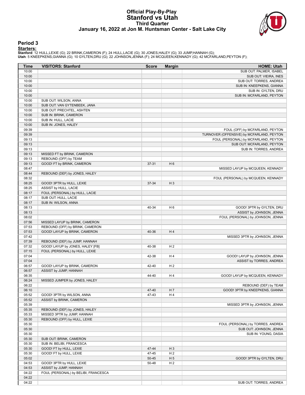#### **Official Play-By-Play Stanford vs Utah Third Quarter January 16, 2022 at Jon M. Huntsman Center - Salt Lake City**



#### **Period 3**

<mark>Starters:</mark><br>Stanford: 12 HULL,LEXIE (G); 22 BRINK,CAMERON (F); 24 HULL,LACIE (G); 30 JONES,HALEY (G); 33 JUMP,HANNAH (G);<br>Utah: 5 KNEEPKENS,GIANNA (G); 10 GYLTEN,DRU (G); 22 JOHNSON,JENNA (F); 24 MCQUEEN,KENNADY (G); 42 MC

| Time  | <b>VISITORS: Stanford</b>            | <b>Score</b> | <b>Margin</b>  | <b>HOME: Utah</b>                         |
|-------|--------------------------------------|--------------|----------------|-------------------------------------------|
| 10:00 |                                      |              |                | SUB OUT: PALMER, ISABEL                   |
| 10:00 |                                      |              |                | SUB OUT: VIEIRA, INES                     |
| 10:00 |                                      |              |                | SUB OUT: TORRES, ANDREA                   |
| 10:00 |                                      |              |                | SUB IN: KNEEPKENS, GIANNA                 |
| 10:00 |                                      |              |                | SUB IN: GYLTEN, DRU                       |
| 10:00 |                                      |              |                | SUB IN: MCFARLAND, PEYTON                 |
| 10:00 | SUB OUT: WILSON, ANNA                |              |                |                                           |
| 10:00 | SUB OUT: VAN GYTENBEEK, JANA         |              |                |                                           |
| 10:00 | SUB OUT: PRECHTEL, ASHTEN            |              |                |                                           |
| 10:00 | SUB IN: BRINK, CAMERON               |              |                |                                           |
| 10:00 | SUB IN: HULL, LACIE                  |              |                |                                           |
| 10:00 | SUB IN: JONES, HALEY                 |              |                |                                           |
| 09:39 |                                      |              |                | FOUL (OFF) by MCFARLAND, PEYTON           |
| 09:39 |                                      |              |                | TURNOVER (OFFENSIVE) by MCFARLAND, PEYTON |
| 09:13 |                                      |              |                | FOUL (PERSONAL) by MCFARLAND, PEYTON      |
| 09:13 |                                      |              |                | SUB OUT: MCFARLAND, PEYTON                |
| 09:13 |                                      |              |                | SUB IN: TORRES, ANDREA                    |
| 09:13 | MISSED FT by BRINK, CAMERON          |              |                |                                           |
| 09:13 | REBOUND (OFF) by TEAM                |              |                |                                           |
| 09:13 | GOOD! FT by BRINK, CAMERON           | 37-31        | H <sub>6</sub> |                                           |
| 08:47 |                                      |              |                | MISSED LAYUP by MCQUEEN, KENNADY          |
| 08:44 | REBOUND (DEF) by JONES, HALEY        |              |                |                                           |
| 08:32 |                                      |              |                | FOUL (PERSONAL) by MCQUEEN, KENNADY       |
| 08:25 | GOOD! 3PTR by HULL, LEXIE            | 37-34        | $H_3$          |                                           |
| 08:25 | ASSIST by HULL, LACIE                |              |                |                                           |
| 08:17 | FOUL (PERSONAL) by HULL, LACIE       |              |                |                                           |
| 08:17 | SUB OUT: HULL, LACIE                 |              |                |                                           |
| 08:17 | SUB IN: WILSON, ANNA                 |              |                |                                           |
| 08:13 |                                      | 40-34        | H <sub>6</sub> | GOOD! 3PTR by GYLTEN, DRU                 |
| 08:13 |                                      |              |                | ASSIST by JOHNSON, JENNA                  |
| 08:02 |                                      |              |                | FOUL (PERSONAL) by JOHNSON, JENNA         |
| 07:56 | MISSED LAYUP by BRINK, CAMERON       |              |                |                                           |
| 07:53 | REBOUND (OFF) by BRINK, CAMERON      |              |                |                                           |
| 07:53 | GOOD! LAYUP by BRINK, CAMERON        | 40-36        | H4             |                                           |
| 07:42 |                                      |              |                | MISSED 3PTR by JOHNSON, JENNA             |
| 07:39 | REBOUND (DEF) by JUMP, HANNAH        |              |                |                                           |
| 07:32 | GOOD! LAYUP by JONES, HALEY [FB]     | 40-38        | H <sub>2</sub> |                                           |
| 07:15 | FOUL (PERSONAL) by HULL, LEXIE       |              |                |                                           |
| 07:04 |                                      | 42-38        | H4             | GOOD! LAYUP by JOHNSON, JENNA             |
| 07:04 |                                      |              |                | ASSIST by TORRES, ANDREA                  |
| 06:57 | GOOD! LAYUP by BRINK, CAMERON        | 42-40        | H <sub>2</sub> |                                           |
| 06:57 | ASSIST by JUMP, HANNAH               |              |                |                                           |
| 06:35 |                                      | 44-40        | H4             | GOOD! LAYUP by MCQUEEN, KENNADY           |
| 06:24 | MISSED JUMPER by JONES, HALEY        |              |                |                                           |
| 06:22 |                                      |              |                | REBOUND (DEF) by TEAM                     |
| 06:10 |                                      | 47-40        | H 7            | GOOD! 3PTR by KNEEPKENS, GIANNA           |
| 05:52 | GOOD! 3PTR by WILSON, ANNA           | 47-43        | H4             |                                           |
| 05:52 | ASSIST by BRINK, CAMERON             |              |                |                                           |
| 05:39 |                                      |              |                | MISSED 3PTR by JOHNSON, JENNA             |
| 05:35 | REBOUND (DEF) by JONES, HALEY        |              |                |                                           |
| 05:33 | MISSED 3PTR by JUMP, HANNAH          |              |                |                                           |
| 05:30 | REBOUND (OFF) by HULL, LEXIE         |              |                |                                           |
| 05:30 |                                      |              |                | FOUL (PERSONAL) by TORRES, ANDREA         |
| 05:30 |                                      |              |                | SUB OUT: JOHNSON, JENNA                   |
| 05:30 |                                      |              |                | SUB IN: YOUNG, DASIA                      |
| 05:30 | SUB OUT: BRINK, CAMERON              |              |                |                                           |
| 05:30 | SUB IN: BELIBI, FRANCESCA            |              |                |                                           |
| 05:30 | GOOD! FT by HULL, LEXIE              | 47-44        | $H_3$          |                                           |
| 05:30 | GOOD! FT by HULL, LEXIE              | 47-45        | H <sub>2</sub> |                                           |
| 05:02 |                                      | $50 - 45$    | H <sub>5</sub> | GOOD! 3PTR by GYLTEN, DRU                 |
| 04:53 | GOOD! 3PTR by HULL, LEXIE            | 50-48        | H <sub>2</sub> |                                           |
| 04:53 | ASSIST by JUMP, HANNAH               |              |                |                                           |
| 04:22 | FOUL (PERSONAL) by BELIBI, FRANCESCA |              |                |                                           |
| 04:22 |                                      |              |                |                                           |
| 04:22 |                                      |              |                | SUB OUT: TORRES, ANDREA                   |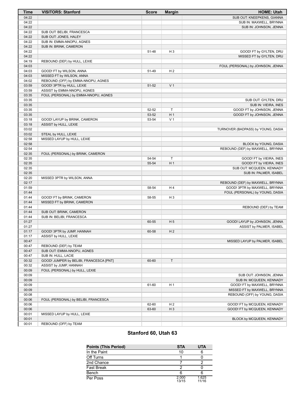| <b>Time</b>    | <b>VISITORS: Stanford</b>               | <b>Score</b> | <b>Margin</b>  | <b>HOME: Utah</b>                                         |
|----------------|-----------------------------------------|--------------|----------------|-----------------------------------------------------------|
| 04:22          |                                         |              |                | SUB OUT: KNEEPKENS, GIANNA                                |
| 04:22          |                                         |              |                | SUB IN: MAXWELL, BRYNNA                                   |
| 04:22          |                                         |              |                | SUB IN: JOHNSON, JENNA                                    |
| 04:22          | SUB OUT: BELIBI, FRANCESCA              |              |                |                                                           |
| 04:22          | SUB OUT: JONES, HALEY                   |              |                |                                                           |
| 04:22          | SUB IN: EMMA-NNOPU, AGNES               |              |                |                                                           |
| 04:22          | SUB IN: BRINK, CAMERON                  |              |                |                                                           |
| 04:22<br>04:22 |                                         | 51-48        | $H_3$          | GOOD! FT by GYLTEN, DRU                                   |
| 04:19          | REBOUND (DEF) by HULL, LEXIE            |              |                | MISSED FT by GYLTEN, DRU                                  |
| 04:03          |                                         |              |                | FOUL (PERSONAL) by JOHNSON, JENNA                         |
| 04:03          | GOOD! FT by WILSON, ANNA                | 51-49        | H <sub>2</sub> |                                                           |
| 04:03          | MISSED FT by WILSON, ANNA               |              |                |                                                           |
| 04:02          | REBOUND (OFF) by EMMA-NNOPU, AGNES      |              |                |                                                           |
| 03:59          | GOOD! 3PTR by HULL, LEXIE               | 51-52        | V <sub>1</sub> |                                                           |
| 03:59          | ASSIST by EMMA-NNOPU, AGNES             |              |                |                                                           |
| 03:35          | FOUL (PERSONAL) by EMMA-NNOPU, AGNES    |              |                |                                                           |
| 03:35          |                                         |              |                | SUB OUT: GYLTEN, DRU                                      |
| 03:35          |                                         |              |                | SUB IN: VIEIRA, INES                                      |
| 03:35          |                                         | 52-52        | $\mathsf T$    | GOOD! FT by JOHNSON, JENNA                                |
| 03:35          |                                         | 53-52        | H <sub>1</sub> | GOOD! FT by JOHNSON, JENNA                                |
| 03:18          | GOOD! LAYUP by BRINK, CAMERON           | 53-54        | V <sub>1</sub> |                                                           |
| 03:18          | ASSIST by HULL, LEXIE                   |              |                |                                                           |
| 03:02          |                                         |              |                | TURNOVER (BADPASS) by YOUNG, DASIA                        |
| 03:02          | STEAL by HULL, LEXIE                    |              |                |                                                           |
| 02:58          | MISSED LAYUP by HULL, LEXIE             |              |                |                                                           |
| 02:58<br>02:54 |                                         |              |                | BLOCK by YOUNG, DASIA<br>REBOUND (DEF) by MAXWELL, BRYNNA |
| 02:35          | FOUL (PERSONAL) by BRINK, CAMERON       |              |                |                                                           |
| 02:35          |                                         | 54-54        | $\mathsf T$    | GOOD! FT by VIEIRA, INES                                  |
| 02:35          |                                         | 55-54        | H <sub>1</sub> | GOOD! FT by VIEIRA, INES                                  |
| 02:35          |                                         |              |                | SUB OUT: MCQUEEN, KENNADY                                 |
| 02:35          |                                         |              |                | SUB IN: PALMER, ISABEL                                    |
| 02:20          | MISSED 3PTR by WILSON, ANNA             |              |                |                                                           |
| 02:17          |                                         |              |                | REBOUND (DEF) by MAXWELL, BRYNNA                          |
| 01:59          |                                         | 58-54        | H <sub>4</sub> | GOOD! 3PTR by MAXWELL, BRYNNA                             |
| 01:44          |                                         |              |                | FOUL (PERSONAL) by YOUNG, DASIA                           |
| 01:44          | GOOD! FT by BRINK, CAMERON              | 58-55        | $H_3$          |                                                           |
| 01:44          | MISSED FT by BRINK, CAMERON             |              |                |                                                           |
| 01:44          |                                         |              |                | REBOUND (DEF) by TEAM                                     |
| 01:44          | SUB OUT: BRINK, CAMERON                 |              |                |                                                           |
| 01:44          | SUB IN: BELIBI, FRANCESCA               |              |                |                                                           |
| 01:27<br>01:27 |                                         | 60-55        | H <sub>5</sub> | GOOD! LAYUP by JOHNSON, JENNA                             |
| 01:17          | GOOD! 3PTR by JUMP, HANNAH              | 60-58        | H <sub>2</sub> | ASSIST by PALMER, ISABEL                                  |
| 01:17          | ASSIST by HULL, LEXIE                   |              |                |                                                           |
| 00:47          |                                         |              |                | MISSED LAYUP by PALMER, ISABEL                            |
| 00:47          | REBOUND (DEF) by TEAM                   |              |                |                                                           |
| 00:47          | SUB OUT: EMMA-NNOPU, AGNES              |              |                |                                                           |
| 00:47          | SUB IN: HULL, LACIE                     |              |                |                                                           |
| 00:32          | GOOD! JUMPER by BELIBI, FRANCESCA [PNT] | 60-60        | T.             |                                                           |
| 00:32          | ASSIST by JUMP, HANNAH                  |              |                |                                                           |
| 00:09          | FOUL (PERSONAL) by HULL, LEXIE          |              |                |                                                           |
| 00:09          |                                         |              |                | SUB OUT: JOHNSON, JENNA                                   |
| 00:09          |                                         |              |                | SUB IN: MCQUEEN, KENNADY                                  |
| 00:09          |                                         | 61-60        | H <sub>1</sub> | GOOD! FT by MAXWELL, BRYNNA                               |
| 00:09          |                                         |              |                | MISSED FT by MAXWELL, BRYNNA                              |
| 00:08          |                                         |              |                | REBOUND (OFF) by YOUNG, DASIA                             |
| 00:06          | FOUL (PERSONAL) by BELIBI, FRANCESCA    |              |                |                                                           |
| 00:06          |                                         | 62-60        | H <sub>2</sub> | GOOD! FT by MCQUEEN, KENNADY                              |
| 00:06<br>00:01 | MISSED LAYUP by HULL, LEXIE             | 63-60        | $H_3$          | GOOD! FT by MCQUEEN, KENNADY                              |
| 00:01          |                                         |              |                | BLOCK by MCQUEEN, KENNADY                                 |
| 00:01          | REBOUND (OFF) by TEAM                   |              |                |                                                           |
|                |                                         |              |                |                                                           |

# **Stanford 60, Utah 63**

| <b>Points (This Period)</b> | <b>STA</b>     | <b>UTA</b>     |
|-----------------------------|----------------|----------------|
| In the Paint                | 10             |                |
| Off Turns                   |                |                |
| 2nd Chance                  |                |                |
| <b>Fast Break</b>           |                |                |
| Bench                       |                |                |
| Per Poss                    | 2.000<br>13/15 | 1.625<br>11/16 |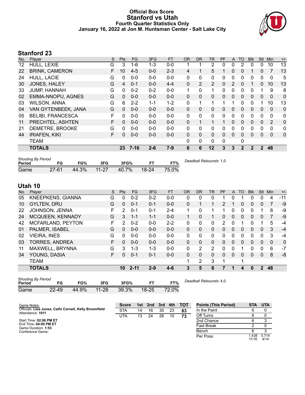### **Official Box Score Stanford vs Utah Fourth Quarter Statistics Only January 16, 2022 at Jon M. Huntsman Center - Salt Lake City**



# **Stanford 23**

| No. | Player                   | S | <b>Pts</b> | <b>FG</b> | 3FG     | <b>FT</b> | <b>OR</b>    | DR.          | TR           | PF       | A        | TO           | <b>Blk</b> | <b>Stl</b>       | Min          | $+/-$    |
|-----|--------------------------|---|------------|-----------|---------|-----------|--------------|--------------|--------------|----------|----------|--------------|------------|------------------|--------------|----------|
| 12  | HULL, LEXIE              | G | 3          | 1-6       | $1 - 3$ | $0 - 0$   |              |              | 2            | 0        | 0        | 2            | 0          | 0                | 10           | 13       |
| 22  | <b>BRINK, CAMERON</b>    | F | 10         | $4 - 5$   | $0 - 0$ | $2 - 3$   | 4            |              | 5            |          | 0        | 0            |            | $\mathbf{0}$     | 7            | 13       |
| 24  | HULL, LACIE              | G | 0          | $0 - 0$   | $0 - 0$ | $0 - 0$   | $\mathbf{0}$ | $\mathbf{0}$ | 0            | 0        | $\Omega$ | 0            | 0          | 0                | 0            | 5        |
| 30  | JONES, HALEY             | G | 4          | $0 - 1$   | $0 - 0$ | $4 - 4$   | $\Omega$     | 2            | 2            | $\Omega$ | 2        | 0            |            | 0                | 10           | 13       |
| 33  | <b>JUMP, HANNAH</b>      | G | $\Omega$   | $0 - 2$   | $0 - 2$ | $0 - 0$   | 1            | $\Omega$     | 1            | 0        | $\Omega$ | 0            | 0          |                  | 9            | 8        |
| 02  | EMMA-NNOPU, AGNES        | G | 0          | $0 - 0$   | $0 - 0$ | $0 - 0$   | 0            | $\Omega$     | 0            | $\Omega$ | $\Omega$ | 0            | 0          | $\Omega$         | $\Omega$     | 0        |
| 03  | <b>WILSON, ANNA</b>      | G | 6          | $2 - 2$   | 1-1     | $1 - 2$   | $\Omega$     | 1            | 1            | 1        |          | 0            | 0          |                  | 10           | 13       |
| 04  | VAN GYTENBEEK, JANA      | G | 0          | $0 - 0$   | $0 - 0$ | $0 - 0$   | $\Omega$     | $\Omega$     | 0            | 0        | $\Omega$ | $\Omega$     | 0          | $\Omega$         | $\mathbf{0}$ | 0        |
| 05  | <b>BELIBI, FRANCESCA</b> | F | 0          | $0 - 0$   | $0 - 0$ | $0 - 0$   | $\mathbf{0}$ | $\Omega$     | 0            | 0        | $\Omega$ | 0            | 0          | 0                | $\mathbf 0$  | 0        |
| 11  | PRECHTEL, ASHTEN         | F | 0          | $0 - 0$   | $0 - 0$ | $0 - 0$   | 0            |              | $\mathbf{1}$ | 1        | $\Omega$ | 0            | 0          | $\mathbf{0}$     | 2            | 0        |
| 21  | DEMETRE, BROOKE          | G | 0          | $0 - 0$   | $0 - 0$ | $0 - 0$   | 0            | 0            | 0            | 0        | $\Omega$ | 0            | 0          | 0                | 0            | 0        |
| 44  | <b>IRIAFEN, KIKI</b>     | F | 0          | $0 - 0$   | $0-0$   | $0 - 0$   | $\Omega$     | $\Omega$     | 0            | 0        | $\Omega$ | $\Omega$     | 0          | $\Omega$         | $\mathbf{0}$ | $\Omega$ |
|     | TEAM                     |   |            |           |         |           | 0            | $\mathbf{0}$ | 0            | 0        |          | 0            |            |                  |              |          |
|     | <b>TOTALS</b>            |   | 23         | $7 - 16$  | $2 - 6$ | $7-9$     | 6            | 6            | 12           | 3        | 3        | $\mathbf{2}$ | 2          | $\boldsymbol{P}$ | 48           |          |

| <b>Shooting By Period</b><br>Period | FG.       | FG%   | 3FG     | 3FG%  |       | FT%   | Deadball Rebounds: 1,0 |
|-------------------------------------|-----------|-------|---------|-------|-------|-------|------------------------|
| Game                                | $27 - 61$ | 44.3% | $11-27$ | 40.7% | 18-24 | 75.0% |                        |

# **Utah 10**

| No. | Player                  | S  | Pts          | FG       | 3FG     | <b>FT</b> | <b>OR</b>    | <b>DR</b>    | TR          | PF | $\mathsf{A}$ | <b>TO</b> | <b>Blk</b> | Stl            | Min      | $+/-$        |
|-----|-------------------------|----|--------------|----------|---------|-----------|--------------|--------------|-------------|----|--------------|-----------|------------|----------------|----------|--------------|
| 05  | KNEEPKENS, GIANNA       | G  | 0            | $0 - 2$  | $0 - 2$ | $0 - 0$   | 0            | 0            | 0           |    | 0            |           | 0          | $\mathbf{0}$   | 4        | $-11$        |
| 10  | <b>GYLTEN, DRU</b>      | G  | $\mathbf{0}$ | $0 - 1$  | $0 - 1$ | $0 - 0$   | $\Omega$     |              | 1           | 2  |              | 0         | 0          | $\mathbf{0}$   |          | $-9$         |
| 22  | JOHNSON, JENNA          | F  | 2            | $0 - 1$  | $0 - 1$ | $2 - 4$   | 1            | 0            | 1           |    | 0            | 0         | 0          |                | 6        | -9           |
| 24  | <b>MCQUEEN, KENNADY</b> | G  | 3            | $1 - 1$  | $1 - 1$ | $0 - 0$   | 1            | $\Omega$     | $\mathbf 1$ | 0  | $\mathbf{0}$ | 0         | 0          | 0              | 7        | -9           |
| 42  | MCFARLAND, PEYTON       | F. | 2            | $0 - 2$  | $0 - 0$ | $2 - 2$   | 0            | $\Omega$     | 0           | 2  | 0            |           | 0          |                | 5        | $-4$         |
| 01  | PALMER, ISABEL          | G  | $\mathbf{0}$ | $0 - 0$  | $0 - 0$ | $0 - 0$   | $\mathbf{0}$ | $\mathbf{0}$ | 0           | 0  | $\mathbf{0}$ | 0         | 0          | $\mathbf{0}$   | 3        | $-4$         |
| 02  | VIEIRA, INES            | G  | 0            | $0 - 0$  | $0 - 0$ | $0 - 0$   | 0            | 0            | 0           | 0  | 0            | 0         | 0          | 0              | 3        | $-4$         |
| 03  | <b>TORRES, ANDREA</b>   | F. | 0            | $0 - 0$  | $0 - 0$ | $0 - 0$   | $\mathbf{0}$ | $\mathbf{0}$ | 0           | 0  | $\mathbf{0}$ | 0         | $\Omega$   | $\mathbf{0}$   | $\Omega$ | $\mathbf{0}$ |
| 11  | MAXWELL, BRYNNA         | G  | 3            | $1 - 3$  | 1-3     | $0 - 0$   | 0            | 2            | 2           | 0  | 0            |           | 0          | 0              | 6        | $-7$         |
| 34  | YOUNG, DASIA            | F. | 0            | $0 - 1$  | $0 - 1$ | $0 - 0$   | $\mathbf{0}$ | $\Omega$     | 0           | 0  | $\mathbf{0}$ | 0         | 0          | $\mathbf{0}$   | 8        | -8           |
|     | TEAM                    |    |              |          |         |           | 1            | 2            | 3           |    |              | ٠         |            |                |          |              |
|     | <b>TOTALS</b>           |    | 10           | $2 - 11$ | $2 - 9$ | $4 - 6$   | 3            | 5            | 8           |    | 1            | 4         | 0          | $\overline{2}$ | 48       |              |
|     |                         |    |              |          |         |           |              |              |             |    |              |           |            |                |          |              |

| <b>Shooting By Period</b><br>Period |           | FG%   | 3FG       | 3FG%     | FТ        | FT%   | Deadball Rebounds: 4,0 |
|-------------------------------------|-----------|-------|-----------|----------|-----------|-------|------------------------|
| Game                                | $22 - 49$ | 44.9% | $11 - 28$ | $39.3\%$ | $18 - 25$ | 72.0% |                        |

| Game Notes:                                                                | <b>Score</b> | 1st l | 2nd | 3rd | 4th | <b>TOT</b> | <b>Points (This Period)</b> | <b>STA</b>     | <b>UTA</b>    |
|----------------------------------------------------------------------------|--------------|-------|-----|-----|-----|------------|-----------------------------|----------------|---------------|
| Officials: Lisa Jones, Cathi Cornell, Kelly Broomfield<br>Attendance: 1911 | STA          | 14    | 16  | 30  | 23  | 83         | In the Paint                |                |               |
|                                                                            | UTA          | 13    | 24  | 26  | 10  | 73         | Off Turns                   |                |               |
| Start Time: 02:06 PM ET                                                    |              |       |     |     |     |            | 2nd Chance                  |                |               |
| End Time: 04:00 PM ET<br>Game Duration: 1:53                               |              |       |     |     |     |            | Fast Break                  |                |               |
| Conference Game;                                                           |              |       |     |     |     |            | Bench                       |                |               |
|                                                                            |              |       |     |     |     |            | Per Poss                    | 1.438<br>11/16 | 0.714<br>4/14 |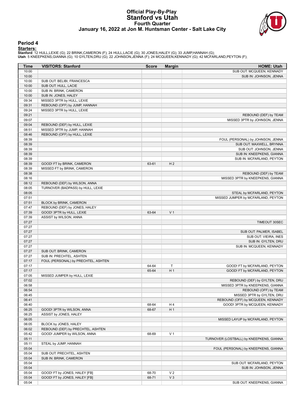#### **Official Play-By-Play Stanford vs Utah Fourth Quarter January 16, 2022 at Jon M. Huntsman Center - Salt Lake City**



#### **Period 4**

<mark>Starters:</mark><br>Stanford: 12 HULL,LEXIE (G); 22 BRINK,CAMERON (F); 24 HULL,LACIE (G); 30 JONES,HALEY (G); 33 JUMP,HANNAH (G);<br>Utah: 5 KNEEPKENS,GIANNA (G); 10 GYLTEN,DRU (G); 22 JOHNSON,JENNA (F); 24 MCQUEEN,KENNADY (G); 42 MC

| Time           | <b>VISITORS: Stanford</b>           | <b>Score</b> | <b>Margin</b>  | <b>HOME: Utah</b>                        |
|----------------|-------------------------------------|--------------|----------------|------------------------------------------|
| 10:00          |                                     |              |                | SUB OUT: MCQUEEN, KENNADY                |
| 10:00          |                                     |              |                | SUB IN: JOHNSON, JENNA                   |
| 10:00          | SUB OUT: BELIBI, FRANCESCA          |              |                |                                          |
| 10:00          | SUB OUT: HULL, LACIE                |              |                |                                          |
| 10:00          | SUB IN: BRINK, CAMERON              |              |                |                                          |
| 10:00          | SUB IN: JONES, HALEY                |              |                |                                          |
| 09:34          | MISSED 3PTR by HULL, LEXIE          |              |                |                                          |
| 09:31          | REBOUND (OFF) by JUMP, HANNAH       |              |                |                                          |
| 09:24          | MISSED 3PTR by HULL, LEXIE          |              |                |                                          |
| 09:21          |                                     |              |                | REBOUND (DEF) by TEAM                    |
| 09:07          |                                     |              |                | MISSED 3PTR by JOHNSON, JENNA            |
| 09:04          | REBOUND (DEF) by HULL, LEXIE        |              |                |                                          |
| 08:51<br>08:46 | MISSED 3PTR by JUMP, HANNAH         |              |                |                                          |
| 08:39          | REBOUND (OFF) by HULL, LEXIE        |              |                | FOUL (PERSONAL) by JOHNSON, JENNA        |
| 08:39          |                                     |              |                | SUB OUT: MAXWELL, BRYNNA                 |
| 08:39          |                                     |              |                | SUB OUT: JOHNSON, JENNA                  |
| 08:39          |                                     |              |                | SUB IN: KNEEPKENS, GIANNA                |
| 08:39          |                                     |              |                | SUB IN: MCFARLAND, PEYTON                |
| 08:39          | GOOD! FT by BRINK, CAMERON          | 63-61        | H <sub>2</sub> |                                          |
| 08:39          | MISSED FT by BRINK, CAMERON         |              |                |                                          |
| 08:38          |                                     |              |                | REBOUND (DEF) by TEAM                    |
| 08:16          |                                     |              |                | MISSED 3PTR by KNEEPKENS, GIANNA         |
| 08:12          | REBOUND (DEF) by WILSON, ANNA       |              |                |                                          |
| 08:05          | TURNOVER (BADPASS) by HULL, LEXIE   |              |                |                                          |
| 08:05          |                                     |              |                | STEAL by MCFARLAND, PEYTON               |
| 07:51          |                                     |              |                | MISSED JUMPER by MCFARLAND, PEYTON       |
| 07:51          | BLOCK by BRINK, CAMERON             |              |                |                                          |
| 07:47          | REBOUND (DEF) by JONES, HALEY       |              |                |                                          |
| 07:39          | GOOD! 3PTR by HULL, LEXIE           | 63-64        | V <sub>1</sub> |                                          |
| 07:39          | ASSIST by WILSON, ANNA              |              |                |                                          |
| 07:27          |                                     |              |                | TIMEOUT 30SEC                            |
| 07:27          |                                     |              |                |                                          |
| 07:27          |                                     |              |                | SUB OUT: PALMER, ISABEL                  |
| 07:27          |                                     |              |                | SUB OUT: VIEIRA, INES                    |
| 07:27          |                                     |              |                | SUB IN: GYLTEN, DRU                      |
| 07:27          |                                     |              |                | SUB IN: MCQUEEN, KENNADY                 |
| 07:27          | SUB OUT: BRINK, CAMERON             |              |                |                                          |
| 07:27          | SUB IN: PRECHTEL, ASHTEN            |              |                |                                          |
| 07:17          | FOUL (PERSONAL) by PRECHTEL, ASHTEN |              |                |                                          |
| 07:17          |                                     | 64-64        | T              | GOOD! FT by MCFARLAND, PEYTON            |
| 07:17<br>07:05 |                                     | 65-64        | H <sub>1</sub> | GOOD! FT by MCFARLAND, PEYTON            |
| 07:02          | MISSED JUMPER by HULL, LEXIE        |              |                | REBOUND (DEF) by GYLTEN, DRU             |
| 06:58          |                                     |              |                | MISSED 3PTR by KNEEPKENS, GIANNA         |
| 06:54          |                                     |              |                | REBOUND (OFF) by TEAM                    |
| 06:45          |                                     |              |                | MISSED 3PTR by GYLTEN, DRU               |
| 06:41          |                                     |              |                | REBOUND (OFF) by MCQUEEN, KENNADY        |
| 06:40          |                                     | 68-64        | H4             | GOOD! 3PTR by MCQUEEN, KENNADY           |
| 06:25          | GOOD! 3PTR by WILSON, ANNA          | 68-67        | H <sub>1</sub> |                                          |
| 06:25          | ASSIST by JONES, HALEY              |              |                |                                          |
| 06:05          |                                     |              |                | MISSED LAYUP by MCFARLAND, PEYTON        |
| 06:05          | BLOCK by JONES, HALEY               |              |                |                                          |
| 06:02          | REBOUND (DEF) by PRECHTEL, ASHTEN   |              |                |                                          |
| 05:42          | GOOD! JUMPER by WILSON, ANNA        | 68-69        | V <sub>1</sub> |                                          |
| 05:11          |                                     |              |                | TURNOVER (LOSTBALL) by KNEEPKENS, GIANNA |
| 05:11          | STEAL by JUMP, HANNAH               |              |                |                                          |
| 05:04          |                                     |              |                | FOUL (PERSONAL) by KNEEPKENS, GIANNA     |
| 05:04          | SUB OUT: PRECHTEL, ASHTEN           |              |                |                                          |
| 05:04          | SUB IN: BRINK, CAMERON              |              |                |                                          |
| 05:04          |                                     |              |                | SUB OUT: MCFARLAND, PEYTON               |
| 05:04          |                                     |              |                | SUB IN: JOHNSON, JENNA                   |
| 05:04          | GOOD! FT by JONES, HALEY [FB]       | 68-70        | V <sub>2</sub> |                                          |
| 05:04          | GOOD! FT by JONES, HALEY [FB]       | 68-71        | $V_3$          |                                          |
| 05:04          |                                     |              |                | SUB OUT: KNEEPKENS, GIANNA               |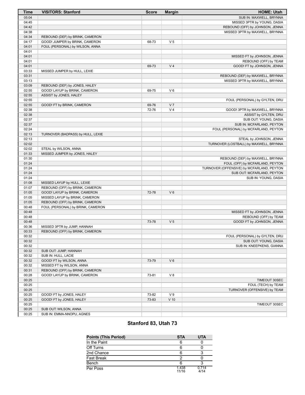| <b>Time</b>    | <b>VISITORS: Stanford</b>                                         | <b>Score</b> | <b>Margin</b>  | <b>HOME: Utah</b>                         |
|----------------|-------------------------------------------------------------------|--------------|----------------|-------------------------------------------|
| 05:04          |                                                                   |              |                | SUB IN: MAXWELL, BRYNNA                   |
| 04:45          |                                                                   |              |                | MISSED 3PTR by YOUNG, DASIA               |
| 04:42          |                                                                   |              |                | REBOUND (OFF) by JOHNSON, JENNA           |
| 04:38          |                                                                   |              |                | MISSED 3PTR by MAXWELL, BRYNNA            |
| 04:34          | REBOUND (DEF) by BRINK, CAMERON                                   |              |                |                                           |
| 04:17          | GOOD! JUMPER by BRINK, CAMERON                                    | 68-73        | V <sub>5</sub> |                                           |
| 04:01          | FOUL (PERSONAL) by WILSON, ANNA                                   |              |                |                                           |
| 04:01          |                                                                   |              |                |                                           |
| 04:01          |                                                                   |              |                | MISSED FT by JOHNSON, JENNA               |
| 04:01          |                                                                   |              |                | REBOUND (OFF) by TEAM                     |
| 04:01          |                                                                   | 69-73        | V <sub>4</sub> | GOOD! FT by JOHNSON, JENNA                |
| 03:33          | MISSED JUMPER by HULL, LEXIE                                      |              |                |                                           |
| 03:31          |                                                                   |              |                | REBOUND (DEF) by MAXWELL, BRYNNA          |
| 03:13<br>03:09 | REBOUND (DEF) by JONES, HALEY                                     |              |                | MISSED 3PTR by MAXWELL, BRYNNA            |
| 02:55          | GOOD! LAYUP by BRINK, CAMERON                                     | 69-75        | $V_6$          |                                           |
| 02:55          | ASSIST by JONES, HALEY                                            |              |                |                                           |
| 02:55          |                                                                   |              |                | FOUL (PERSONAL) by GYLTEN, DRU            |
| 02:55          | GOOD! FT by BRINK, CAMERON                                        | 69-76        | V <sub>7</sub> |                                           |
| 02:38          |                                                                   | 72-76        | V <sub>4</sub> | GOOD! 3PTR by MAXWELL, BRYNNA             |
| 02:38          |                                                                   |              |                | ASSIST by GYLTEN, DRU                     |
| 02:37          |                                                                   |              |                | SUB OUT: YOUNG, DASIA                     |
| 02:37          |                                                                   |              |                | SUB IN: MCFARLAND, PEYTON                 |
| 02:24          |                                                                   |              |                | FOUL (PERSONAL) by MCFARLAND, PEYTON      |
| 02:13          | TURNOVER (BADPASS) by HULL, LEXIE                                 |              |                |                                           |
| 02:13          |                                                                   |              |                | STEAL by JOHNSON, JENNA                   |
| 02:02          |                                                                   |              |                | TURNOVER (LOSTBALL) by MAXWELL, BRYNNA    |
| 02:02          | STEAL by WILSON, ANNA                                             |              |                |                                           |
| 01:33          | MISSED JUMPER by JONES, HALEY                                     |              |                |                                           |
| 01:30          |                                                                   |              |                | REBOUND (DEF) by MAXWELL, BRYNNA          |
| 01:24          |                                                                   |              |                | FOUL (OFF) by MCFARLAND, PEYTON           |
| 01:24          |                                                                   |              |                | TURNOVER (OFFENSIVE) by MCFARLAND, PEYTON |
| 01:24          |                                                                   |              |                | SUB OUT: MCFARLAND, PEYTON                |
| 01:24          |                                                                   |              |                | SUB IN: YOUNG, DASIA                      |
| 01:08          | MISSED LAYUP by HULL, LEXIE                                       |              |                |                                           |
| 01:07          | REBOUND (OFF) by BRINK, CAMERON                                   |              |                |                                           |
| 01:05          | GOOD! LAYUP by BRINK, CAMERON                                     | 72-78        | $V_6$          |                                           |
| 01:05<br>01:05 | MISSED LAYUP by BRINK, CAMERON<br>REBOUND (OFF) by BRINK, CAMERON |              |                |                                           |
| 00:48          | FOUL (PERSONAL) by BRINK, CAMERON                                 |              |                |                                           |
| 00:48          |                                                                   |              |                | MISSED FT by JOHNSON, JENNA               |
| 00:48          |                                                                   |              |                | REBOUND (OFF) by TEAM                     |
| 00:48          |                                                                   | 73-78        | V <sub>5</sub> | GOOD! FT by JOHNSON, JENNA                |
| 00:36          | MISSED 3PTR by JUMP, HANNAH                                       |              |                |                                           |
| 00:33          | REBOUND (OFF) by BRINK, CAMERON                                   |              |                |                                           |
| 00:32          |                                                                   |              |                | FOUL (PERSONAL) by GYLTEN, DRU            |
| 00:32          |                                                                   |              |                | SUB OUT: YOUNG, DASIA                     |
| 00:32          |                                                                   |              |                | SUB IN: KNEEPKENS, GIANNA                 |
| 00:32          | SUB OUT: JUMP, HANNAH                                             |              |                |                                           |
| 00:32          | SUB IN: HULL, LACIE                                               |              |                |                                           |
| 00:32          | GOOD! FT by WILSON, ANNA                                          | 73-79        | $V_6$          |                                           |
| 00:32          | MISSED FT by WILSON, ANNA                                         |              |                |                                           |
| 00:31          | REBOUND (OFF) by BRINK, CAMERON                                   |              |                |                                           |
| 00:28          | GOOD! LAYUP by BRINK, CAMERON                                     | 73-81        | V8             |                                           |
| 00:25          |                                                                   |              |                | TIMEOUT 30SEC                             |
| 00:25          |                                                                   |              |                | FOUL (TECH) by TEAM                       |
| 00:25          |                                                                   |              |                | TURNOVER (OFFENSIVE) by TEAM              |
| 00:25          | GOOD! FT by JONES, HALEY                                          | 73-82        | V <sub>9</sub> |                                           |
| 00:25          | GOOD! FT by JONES, HALEY                                          | 73-83        | $V$ 10         |                                           |
| 00:25          |                                                                   |              |                | TIMEOUT 30SEC                             |
| 00:25          | SUB OUT: WILSON, ANNA                                             |              |                |                                           |
| 00:25          | SUB IN: EMMA-NNOPU, AGNES                                         |              |                |                                           |

# **Stanford 83, Utah 73**

| <b>Points (This Period)</b> | <b>STA</b>     | <b>UTA</b>    |
|-----------------------------|----------------|---------------|
| In the Paint                | 6              |               |
| Off Turns                   |                |               |
| 2nd Chance                  | 6              |               |
| <b>Fast Break</b>           |                |               |
| Bench                       | 6              |               |
| Per Poss                    | 1.438<br>11/16 | 0.714<br>4/14 |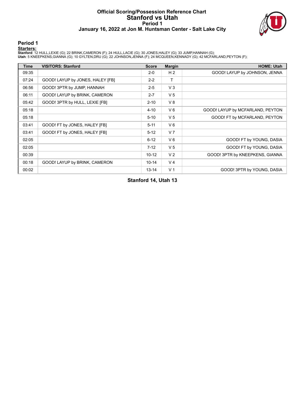#### **Official Scoring/Possession Reference Chart Stanford vs Utah Period 1 January 16, 2022 at Jon M. Huntsman Center - Salt Lake City**



#### **Period 1**

<mark>Starters:</mark><br>Stanford: 12 HULL,LEXIE (G); 22 BRINK,CAMERON (F); 24 HULL,LACIE (G); 30 JONES,HALEY (G); 33 JUMP,HANNAH (G);<br>Utah: 5 KNEEPKENS,GIANNA (G); 10 GYLTEN,DRU (G); 22 JOHNSON,JENNA (F); 24 MCQUEEN,KENNADY (G); 42 MC

| <b>Time</b> | <b>VISITORS: Stanford</b>        | <b>Score</b> | <b>Margin</b>  | <b>HOME: Utah</b>                |
|-------------|----------------------------------|--------------|----------------|----------------------------------|
| 09:35       |                                  | $2 - 0$      | H <sub>2</sub> | GOOD! LAYUP by JOHNSON, JENNA    |
| 07:24       | GOOD! LAYUP by JONES, HALEY [FB] | $2 - 2$      | т              |                                  |
| 06:56       | GOOD! 3PTR by JUMP, HANNAH       | $2 - 5$      | $V_3$          |                                  |
| 06:11       | GOOD! LAYUP by BRINK, CAMERON    | $2 - 7$      | V <sub>5</sub> |                                  |
| 05:42       | GOOD! 3PTR by HULL, LEXIE [FB]   | $2 - 10$     | V8             |                                  |
| 05:18       |                                  | $4 - 10$     | $V_6$          | GOOD! LAYUP by MCFARLAND, PEYTON |
| 05:18       |                                  | $5 - 10$     | V <sub>5</sub> | GOOD! FT by MCFARLAND, PEYTON    |
| 03:41       | GOOD! FT by JONES, HALEY [FB]    | $5 - 11$     | $V_6$          |                                  |
| 03:41       | GOOD! FT by JONES, HALEY [FB]    | $5 - 12$     | V <sub>7</sub> |                                  |
| 02:05       |                                  | $6 - 12$     | $V_6$          | GOOD! FT by YOUNG, DASIA         |
| 02:05       |                                  | $7 - 12$     | V <sub>5</sub> | GOOD! FT by YOUNG, DASIA         |
| 00:39       |                                  | $10 - 12$    | V <sub>2</sub> | GOOD! 3PTR by KNEEPKENS, GIANNA  |
| 00:18       | GOOD! LAYUP by BRINK, CAMERON    | $10 - 14$    | V <sub>4</sub> |                                  |
| 00:02       |                                  | $13 - 14$    | V <sub>1</sub> | GOOD! 3PTR by YOUNG, DASIA       |

### **Stanford 14, Utah 13**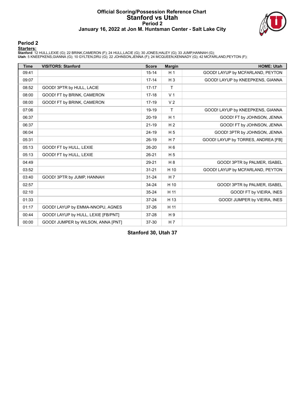#### **Official Scoring/Possession Reference Chart Stanford vs Utah Period 2 January 16, 2022 at Jon M. Huntsman Center - Salt Lake City**



#### **Period 2**

#### **Starters:**

**Stanford**: 12 HULL,LEXIE (G); 22 BRINK,CAMERON (F); 24 HULL,LACIE (G); 30 JONES,HALEY (G); 33 JUMP,HANNAH (G);<br>**Utah**: 5 KNEEPKENS,GIANNA (G); 10 GYLTEN,DRU (G); 22 JOHNSON,JENNA (F); 24 MCQUEEN,KENNADY (G); 42 MCFARLAND,

| <b>Time</b> | <b>VISITORS: Stanford</b>           | <b>Score</b> | <b>Margin</b>  | <b>HOME: Utah</b>                  |
|-------------|-------------------------------------|--------------|----------------|------------------------------------|
| 09:41       |                                     | $15 - 14$    | H <sub>1</sub> | GOOD! LAYUP by MCFARLAND, PEYTON   |
| 09:07       |                                     | $17 - 14$    | $H_3$          | GOOD! LAYUP by KNEEPKENS, GIANNA   |
| 08:52       | GOOD! 3PTR by HULL, LACIE           | $17 - 17$    | $\mathsf{T}$   |                                    |
| 08:00       | GOOD! FT by BRINK, CAMERON          | $17 - 18$    | V <sub>1</sub> |                                    |
| 08:00       | GOOD! FT by BRINK, CAMERON          | $17-19$      | V <sub>2</sub> |                                    |
| 07:06       |                                     | 19-19        | $\mathsf{T}$   | GOOD! LAYUP by KNEEPKENS, GIANNA   |
| 06:37       |                                     | $20 - 19$    | H <sub>1</sub> | GOOD! FT by JOHNSON, JENNA         |
| 06:37       |                                     | $21-19$      | H <sub>2</sub> | GOOD! FT by JOHNSON, JENNA         |
| 06:04       |                                     | 24-19        | H <sub>5</sub> | GOOD! 3PTR by JOHNSON, JENNA       |
| 05:31       |                                     | $26-19$      | H <sub>7</sub> | GOOD! LAYUP by TORRES, ANDREA [FB] |
| 05:13       | GOOD! FT by HULL, LEXIE             | 26-20        | $H_6$          |                                    |
| 05:13       | GOOD! FT by HULL, LEXIE             | $26 - 21$    | H <sub>5</sub> |                                    |
| 04:49       |                                     | 29-21        | H <sub>8</sub> | GOOD! 3PTR by PALMER, ISABEL       |
| 03:52       |                                     | $31 - 21$    | H 10           | GOOD! LAYUP by MCFARLAND, PEYTON   |
| 03:40       | GOOD! 3PTR by JUMP, HANNAH          | $31 - 24$    | H <sub>7</sub> |                                    |
| 02:57       |                                     | 34-24        | H 10           | GOOD! 3PTR by PALMER, ISABEL       |
| 02:10       |                                     | $35 - 24$    | H 11           | GOOD! FT by VIEIRA, INES           |
| 01:33       |                                     | $37 - 24$    | H 13           | GOOD! JUMPER by VIEIRA, INES       |
| 01:17       | GOOD! LAYUP by EMMA-NNOPU, AGNES    | 37-26        | H 11           |                                    |
| 00:44       | GOOD! LAYUP by HULL, LEXIE [FB/PNT] | 37-28        | H <sub>9</sub> |                                    |
| 00:00       | GOOD! JUMPER by WILSON, ANNA [PNT]  | 37-30        | H <sub>7</sub> |                                    |

**Stanford 30, Utah 37**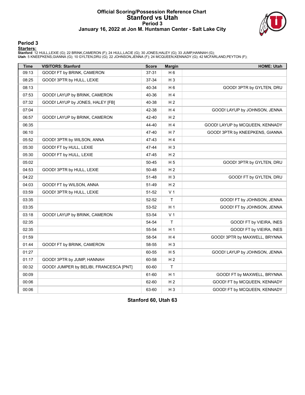#### **Official Scoring/Possession Reference Chart Stanford vs Utah Period 3 January 16, 2022 at Jon M. Huntsman Center - Salt Lake City**



#### **Period 3**

<mark>Starters:</mark><br>Stanford: 12 HULL,LEXIE (G); 22 BRINK,CAMERON (F); 24 HULL,LACIE (G); 30 JONES,HALEY (G); 33 JUMP,HANNAH (G);<br>Utah: 5 KNEEPKENS,GIANNA (G); 10 GYLTEN,DRU (G); 22 JOHNSON,JENNA (F); 24 MCQUEEN,KENNADY (G); 42 MC

| <b>Time</b> | <b>VISITORS: Stanford</b>               | <b>Score</b> | <b>Margin</b>  | <b>HOME: Utah</b>               |
|-------------|-----------------------------------------|--------------|----------------|---------------------------------|
| 09:13       | GOOD! FT by BRINK, CAMERON              | 37-31        | H <sub>6</sub> |                                 |
| 08:25       | GOOD! 3PTR by HULL, LEXIE               | 37-34        | $H_3$          |                                 |
| 08:13       |                                         | 40-34        | H <sub>6</sub> | GOOD! 3PTR by GYLTEN, DRU       |
| 07:53       | GOOD! LAYUP by BRINK, CAMERON           | 40-36        | H <sub>4</sub> |                                 |
| 07:32       | GOOD! LAYUP by JONES, HALEY [FB]        | 40-38        | H <sub>2</sub> |                                 |
| 07:04       |                                         | 42-38        | H <sub>4</sub> | GOOD! LAYUP by JOHNSON, JENNA   |
| 06:57       | GOOD! LAYUP by BRINK, CAMERON           | 42-40        | H <sub>2</sub> |                                 |
| 06:35       |                                         | 44-40        | H <sub>4</sub> | GOOD! LAYUP by MCQUEEN, KENNADY |
| 06:10       |                                         | 47-40        | H <sub>7</sub> | GOOD! 3PTR by KNEEPKENS, GIANNA |
| 05:52       | GOOD! 3PTR by WILSON, ANNA              | 47-43        | H <sub>4</sub> |                                 |
| 05:30       | GOOD! FT by HULL, LEXIE                 | 47-44        | $H_3$          |                                 |
| 05:30       | GOOD! FT by HULL, LEXIE                 | 47-45        | H <sub>2</sub> |                                 |
| 05:02       |                                         | 50-45        | H <sub>5</sub> | GOOD! 3PTR by GYLTEN, DRU       |
| 04:53       | GOOD! 3PTR by HULL, LEXIE               | 50-48        | H <sub>2</sub> |                                 |
| 04:22       |                                         | 51-48        | $H_3$          | GOOD! FT by GYLTEN, DRU         |
| 04:03       | GOOD! FT by WILSON, ANNA                | 51-49        | H <sub>2</sub> |                                 |
| 03:59       | GOOD! 3PTR by HULL, LEXIE               | 51-52        | V <sub>1</sub> |                                 |
| 03:35       |                                         | 52-52        | $\top$         | GOOD! FT by JOHNSON, JENNA      |
| 03:35       |                                         | 53-52        | H <sub>1</sub> | GOOD! FT by JOHNSON, JENNA      |
| 03:18       | GOOD! LAYUP by BRINK, CAMERON           | 53-54        | V <sub>1</sub> |                                 |
| 02:35       |                                         | 54-54        | T              | GOOD! FT by VIEIRA, INES        |
| 02:35       |                                         | 55-54        | H <sub>1</sub> | GOOD! FT by VIEIRA, INES        |
| 01:59       |                                         | 58-54        | H4             | GOOD! 3PTR by MAXWELL, BRYNNA   |
| 01:44       | GOOD! FT by BRINK, CAMERON              | 58-55        | $H_3$          |                                 |
| 01:27       |                                         | 60-55        | H <sub>5</sub> | GOOD! LAYUP by JOHNSON, JENNA   |
| 01:17       | GOOD! 3PTR by JUMP, HANNAH              | 60-58        | H <sub>2</sub> |                                 |
| 00:32       | GOOD! JUMPER by BELIBI, FRANCESCA [PNT] | 60-60        | T              |                                 |
| 00:09       |                                         | 61-60        | H <sub>1</sub> | GOOD! FT by MAXWELL, BRYNNA     |
| 00:06       |                                         | 62-60        | H <sub>2</sub> | GOOD! FT by MCQUEEN, KENNADY    |
| 00:06       |                                         | 63-60        | $H_3$          | GOOD! FT by MCQUEEN, KENNADY    |

**Stanford 60, Utah 63**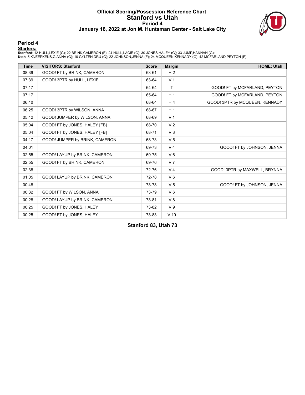#### **Official Scoring/Possession Reference Chart Stanford vs Utah Period 4 January 16, 2022 at Jon M. Huntsman Center - Salt Lake City**



#### **Period 4**

#### **Starters:**

**Stanford**: 12 HULL,LEXIE (G); 22 BRINK,CAMERON (F); 24 HULL,LACIE (G); 30 JONES,HALEY (G); 33 JUMP,HANNAH (G);<br>**Utah**: 5 KNEEPKENS,GIANNA (G); 10 GYLTEN,DRU (G); 22 JOHNSON,JENNA (F); 24 MCQUEEN,KENNADY (G); 42 MCFARLAND,

| <b>Time</b> | <b>VISITORS: Stanford</b>      | <b>Score</b> | <b>Margin</b>  | <b>HOME: Utah</b>              |
|-------------|--------------------------------|--------------|----------------|--------------------------------|
| 08:39       | GOOD! FT by BRINK, CAMERON     | 63-61        | H <sub>2</sub> |                                |
| 07:39       | GOOD! 3PTR by HULL, LEXIE      | 63-64        | V <sub>1</sub> |                                |
| 07:17       |                                | 64-64        | $\mathsf{T}$   | GOOD! FT by MCFARLAND, PEYTON  |
| 07:17       |                                | 65-64        | H <sub>1</sub> | GOOD! FT by MCFARLAND, PEYTON  |
| 06:40       |                                | 68-64        | H <sub>4</sub> | GOOD! 3PTR by MCQUEEN, KENNADY |
| 06:25       | GOOD! 3PTR by WILSON, ANNA     | 68-67        | H <sub>1</sub> |                                |
| 05:42       | GOOD! JUMPER by WILSON, ANNA   | 68-69        | V <sub>1</sub> |                                |
| 05:04       | GOOD! FT by JONES, HALEY [FB]  | 68-70        | V <sub>2</sub> |                                |
| 05:04       | GOOD! FT by JONES, HALEY [FB]  | 68-71        | V <sub>3</sub> |                                |
| 04:17       | GOOD! JUMPER by BRINK, CAMERON | 68-73        | V <sub>5</sub> |                                |
| 04:01       |                                | 69-73        | V <sub>4</sub> | GOOD! FT by JOHNSON, JENNA     |
| 02:55       | GOOD! LAYUP by BRINK, CAMERON  | 69-75        | $V_6$          |                                |
| 02:55       | GOOD! FT by BRINK, CAMERON     | 69-76        | V <sub>7</sub> |                                |
| 02:38       |                                | 72-76        | V <sub>4</sub> | GOOD! 3PTR by MAXWELL, BRYNNA  |
| 01:05       | GOOD! LAYUP by BRINK, CAMERON  | 72-78        | $V_6$          |                                |
| 00:48       |                                | 73-78        | V <sub>5</sub> | GOOD! FT by JOHNSON, JENNA     |
| 00:32       | GOOD! FT by WILSON, ANNA       | 73-79        | $V_6$          |                                |
| 00:28       | GOOD! LAYUP by BRINK, CAMERON  | 73-81        | V8             |                                |
| 00:25       | GOOD! FT by JONES, HALEY       | 73-82        | V <sub>9</sub> |                                |
| 00:25       | GOOD! FT by JONES, HALEY       | 73-83        | $V$ 10         |                                |

**Stanford 83, Utah 73**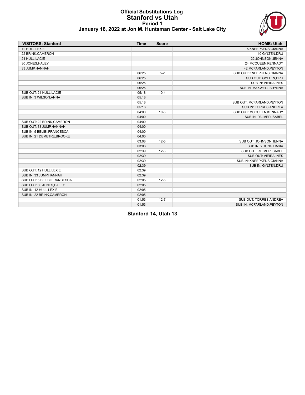#### **Official Substitutions Log Stanford vs Utah Period 1 January 16, 2022 at Jon M. Huntsman Center - Salt Lake City**



| <b>VISITORS: Stanford</b>    | <b>Time</b> | <b>Score</b> | <b>HOME: Utah</b>          |
|------------------------------|-------------|--------------|----------------------------|
| 12 HULL, LEXIE               |             |              | 5 KNEEPKENS, GIANNA        |
| 22 BRINK, CAMERON            |             |              | 10 GYLTEN, DRU             |
| 24 HULL, LACIE               |             |              | 22 JOHNSON, JENNA          |
| 30 JONES, HALEY              |             |              | 24 MCQUEEN, KENNADY        |
| 33 JUMP, HANNAH              |             |              | 42 MCFARLAND, PEYTON       |
|                              | 06:25       | $5-2$        | SUB OUT: KNEEPKENS, GIANNA |
|                              | 06:25       |              | SUB OUT: GYLTEN, DRU       |
|                              | 06:25       |              | SUB IN: VIEIRA, INES       |
|                              | 06:25       |              | SUB IN: MAXWELL, BRYNNA    |
| SUB OUT: 24 HULL, LACIE      | 05:18       | $10 - 4$     |                            |
| SUB IN: 3 WILSON, ANNA       | 05:18       |              |                            |
|                              | 05:18       |              | SUB OUT: MCFARLAND, PEYTON |
|                              | 05:18       |              | SUB IN: TORRES, ANDREA     |
|                              | 04:00       | $10-5$       | SUB OUT: MCQUEEN, KENNADY  |
|                              | 04:00       |              | SUB IN: PALMER, ISABEL     |
| SUB OUT: 22 BRINK, CAMERON   | 04:00       |              |                            |
| SUB OUT: 33 JUMP HANNAH      | 04:00       |              |                            |
| SUB IN: 5 BELIBI, FRANCESCA  | 04:00       |              |                            |
| SUB IN: 21 DEMETRE, BROOKE   | 04:00       |              |                            |
|                              | 03:08       | $12 - 5$     | SUB OUT: JOHNSON, JENNA    |
|                              | 03:08       |              | SUB IN: YOUNG, DASIA       |
|                              | 02:39       | $12 - 5$     | SUB OUT: PALMER, ISABEL    |
|                              | 02:39       |              | SUB OUT: VIEIRA, INES      |
|                              | 02:39       |              | SUB IN: KNEEPKENS, GIANNA  |
|                              | 02:39       |              | SUB IN: GYLTEN, DRU        |
| SUB OUT: 12 HULL, LEXIE      | 02:39       |              |                            |
| SUB IN: 33 JUMP, HANNAH      | 02:39       |              |                            |
| SUB OUT: 5 BELIBI, FRANCESCA | 02:05       | $12 - 5$     |                            |
| SUB OUT: 30 JONES, HALEY     | 02:05       |              |                            |
| SUB IN: 12 HULL, LEXIE       | 02:05       |              |                            |
| SUB IN: 22 BRINK, CAMERON    | 02:05       |              |                            |
|                              | 01:53       | $12 - 7$     | SUB OUT: TORRES, ANDREA    |
|                              | 01:53       |              | SUB IN: MCFARLAND, PEYTON  |

**Stanford 14, Utah 13**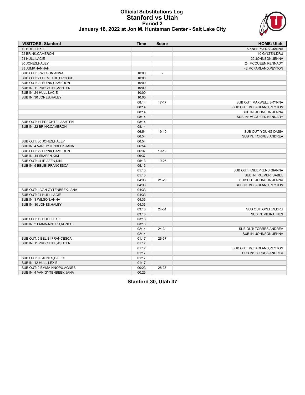#### **Official Substitutions Log Stanford vs Utah Period 2 January 16, 2022 at Jon M. Huntsman Center - Salt Lake City**



|  |  |  | anuary 16, 2022 at Jon M. Huntsman Center - Salt Lake City |  |  |  |
|--|--|--|------------------------------------------------------------|--|--|--|
|--|--|--|------------------------------------------------------------|--|--|--|

| <b>VISITORS: Stanford</b>      | <b>Time</b> | <b>Score</b>             | <b>HOME: Utah</b>           |
|--------------------------------|-------------|--------------------------|-----------------------------|
| 12 HULL.LEXIE                  |             |                          | 5 KNEEPKENS, GIANNA         |
| 22 BRINK, CAMERON              |             |                          | 10 GYLTEN, DRU              |
| 24 HULL, LACIE                 |             |                          | 22 JOHNSON, JENNA           |
| 30 JONES, HALEY                |             |                          | 24 MCQUEEN, KENNADY         |
| 33 JUMP, HANNAH                |             |                          | 42 MCFARLAND, PEYTON        |
| SUB OUT: 3 WILSON, ANNA        | 10:00       | $\overline{\phantom{a}}$ |                             |
| SUB OUT: 21 DEMETRE, BROOKE    | 10:00       |                          |                             |
| SUB OUT: 22 BRINK, CAMERON     | 10:00       |                          |                             |
| SUB IN: 11 PRECHTEL, ASHTEN    | 10:00       |                          |                             |
| SUB IN: 24 HULL, LACIE         | 10:00       |                          |                             |
| SUB IN: 30 JONES.HALEY         | 10:00       |                          |                             |
|                                | 08:14       | $17-17$                  | SUB OUT: MAXWELL, BRYNNA    |
|                                | 08:14       |                          | SUB OUT: MCFARLAND, PEYTON  |
|                                | 08:14       |                          | SUB IN: JOHNSON, JENNA      |
|                                | 08:14       |                          | SUB IN: MCQUEEN.KENNADY     |
| SUB OUT: 11 PRECHTEL, ASHTEN   | 08:14       |                          |                             |
| SUB IN: 22 BRINK, CAMERON      | 08:14       |                          |                             |
|                                | 06:54       | 19-19                    | SUB OUT: YOUNG, DASIA       |
|                                | 06:54       |                          | SUB IN: TORRES, ANDREA      |
| SUB OUT: 30 JONES, HALEY       | 06:54       |                          |                             |
| SUB IN: 4 VAN GYTENBEEK, JANA  | 06:54       |                          |                             |
| SUB OUT: 22 BRINK, CAMERON     | 06:37       | 19-19                    |                             |
| SUB IN: 44 IRIAFEN, KIKI       | 06:37       |                          |                             |
| SUB OUT: 44 IRIAFEN, KIKI      | 05:13       | 19-26                    |                             |
| SUB IN: 5 BELIBI, FRANCESCA    | 05:13       |                          |                             |
|                                | 05:13       |                          | SUB OUT: KNEEPKENS, GIANNA  |
|                                | 05:13       |                          | SUB IN: PALMER, ISABEL      |
|                                | 04:33       | 21-29                    | SUB OUT: JOHNSON, JENNA     |
|                                | 04:33       |                          | SUB IN: MCFARLAND, PEYTON   |
| SUB OUT: 4 VAN GYTENBEEK, JANA | 04:33       |                          |                             |
| SUB OUT: 24 HULL, LACIE        | 04:33       |                          |                             |
| SUB IN: 3 WILSON.ANNA          | 04:33       |                          |                             |
| SUB IN: 30 JONES, HALEY        | 04:33       |                          |                             |
|                                | 03:13       | 24-31                    | SUB OUT: GYLTEN, DRU        |
|                                | 03:13       |                          | <b>SUB IN: VIEIRA, INES</b> |
| SUB OUT: 12 HULL.LEXIE         | 03:13       |                          |                             |
| SUB IN: 2 EMMA-NNOPU, AGNES    | 03:13       |                          |                             |
|                                | 02:14       | 24-34                    | SUB OUT: TORRES, ANDREA     |
|                                | 02:14       |                          | SUB IN: JOHNSON, JENNA      |
| SUB OUT: 5 BELIBI, FRANCESCA   | 01:17       | 26-37                    |                             |
| SUB IN: 11 PRECHTEL, ASHTEN    | 01:17       |                          |                             |
|                                | 01:17       |                          | SUB OUT: MCFARLAND, PEYTON  |
|                                | 01:17       |                          | SUB IN: TORRES, ANDREA      |
| SUB OUT: 30 JONES, HALEY       | 01:17       |                          |                             |
|                                |             |                          |                             |
| SUB IN: 12 HULL, LEXIE         | 01:17       |                          |                             |
| SUB OUT: 2 EMMA-NNOPU, AGNES   | 00:23       | 28-37                    |                             |
| SUB IN: 4 VAN GYTENBEEK, JANA  | 00:23       |                          |                             |

**Stanford 30, Utah 37**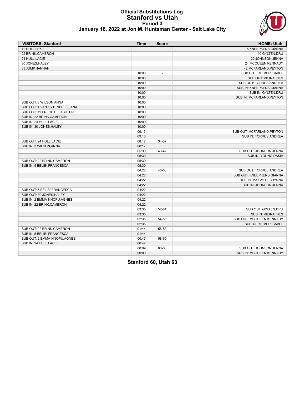# **Official Substitutions Log Stanford vs Utah Period 3**



|  | January 16, 2022 at Jon M. Huntsman Center - Salt Lake City |  |  |  |
|--|-------------------------------------------------------------|--|--|--|
|--|-------------------------------------------------------------|--|--|--|

| <b>VISITORS: Stanford</b>      | <b>Time</b> | <b>Score</b>             | <b>HOME: Utah</b>           |
|--------------------------------|-------------|--------------------------|-----------------------------|
| 12 HULL, LEXIE                 |             |                          | 5 KNEEPKENS, GIANNA         |
| 22 BRINK, CAMERON              |             |                          | 10 GYLTEN, DRU              |
| 24 HULL, LACIE                 |             |                          | 22 JOHNSON, JENNA           |
| 30 JONES, HALEY                |             |                          | 24 MCQUEEN, KENNADY         |
| 33 JUMP, HANNAH                |             |                          | 42 MCFARLAND, PEYTON        |
|                                | 10:00       | $\overline{\phantom{a}}$ | SUB OUT: PALMER, ISABEL     |
|                                | 10:00       |                          | SUB OUT: VIEIRA, INES       |
|                                | 10:00       |                          | SUB OUT: TORRES, ANDREA     |
|                                | 10:00       |                          | SUB IN: KNEEPKENS, GIANNA   |
|                                | 10:00       |                          | SUB IN: GYLTEN, DRU         |
|                                | 10:00       |                          | SUB IN: MCFARLAND, PEYTON   |
| SUB OUT: 3 WILSON, ANNA        | 10:00       |                          |                             |
| SUB OUT: 4 VAN GYTENBEEK, JANA | 10:00       |                          |                             |
| SUB OUT: 11 PRECHTEL, ASHTEN   | 10:00       |                          |                             |
| SUB IN: 22 BRINK, CAMERON      | 10:00       |                          |                             |
| SUB IN: 24 HULL, LACIE         | 10:00       |                          |                             |
| SUB IN: 30 JONES, HALEY        | 10:00       |                          |                             |
|                                | 09:13       | $\overline{\phantom{a}}$ | SUB OUT: MCFARLAND, PEYTON  |
|                                | 09:13       |                          | SUB IN: TORRES, ANDREA      |
| SUB OUT: 24 HULL, LACIE        | 08:17       | 34-37                    |                             |
| SUB IN: 3 WILSON, ANNA         | 08:17       |                          |                             |
|                                | 05:30       | 43-47                    | SUB OUT: JOHNSON, JENNA     |
|                                | 05:30       |                          | SUB IN: YOUNG, DASIA        |
| SUB OUT: 22 BRINK, CAMERON     | 05:30       |                          |                             |
| SUB IN: 5 BELIBI.FRANCESCA     | 05:30       |                          |                             |
|                                | 04:22       | 48-50                    | SUB OUT: TORRES, ANDREA     |
|                                | 04:22       |                          | SUB OUT: KNEEPKENS, GIANNA  |
|                                | 04:22       |                          | SUB IN: MAXWELL, BRYNNA     |
|                                | 04:22       |                          | SUB IN: JOHNSON, JENNA      |
| SUB OUT: 5 BELIBI, FRANCESCA   | 04:22       |                          |                             |
| SUB OUT: 30 JONES, HALEY       | 04:22       |                          |                             |
| SUB IN: 2 EMMA-NNOPU, AGNES    | 04:22       |                          |                             |
| SUB IN: 22 BRINK, CAMERON      | 04:22       |                          |                             |
|                                | 03:35       | $52 - 51$                | SUB OUT: GYLTEN, DRU        |
|                                | 03:35       |                          | <b>SUB IN: VIEIRA, INES</b> |
|                                | 02:35       | 54-55                    | SUB OUT: MCQUEEN, KENNADY   |
|                                | 02:35       |                          | SUB IN: PALMER, ISABEL      |
| SUB OUT: 22 BRINK.CAMERON      | 01:44       | 55-58                    |                             |
| SUB IN: 5 BELIBI, FRANCESCA    | 01:44       |                          |                             |
| SUB OUT: 2 EMMA-NNOPU, AGNES   | 00:47       | 58-60                    |                             |
| SUB IN: 24 HULL, LACIE         | 00:47       |                          |                             |
|                                | 00:09       | 60-60                    | SUB OUT: JOHNSON, JENNA     |
|                                | 00:09       |                          | SUB IN: MCQUEEN, KENNADY    |

**Stanford 60, Utah 63**